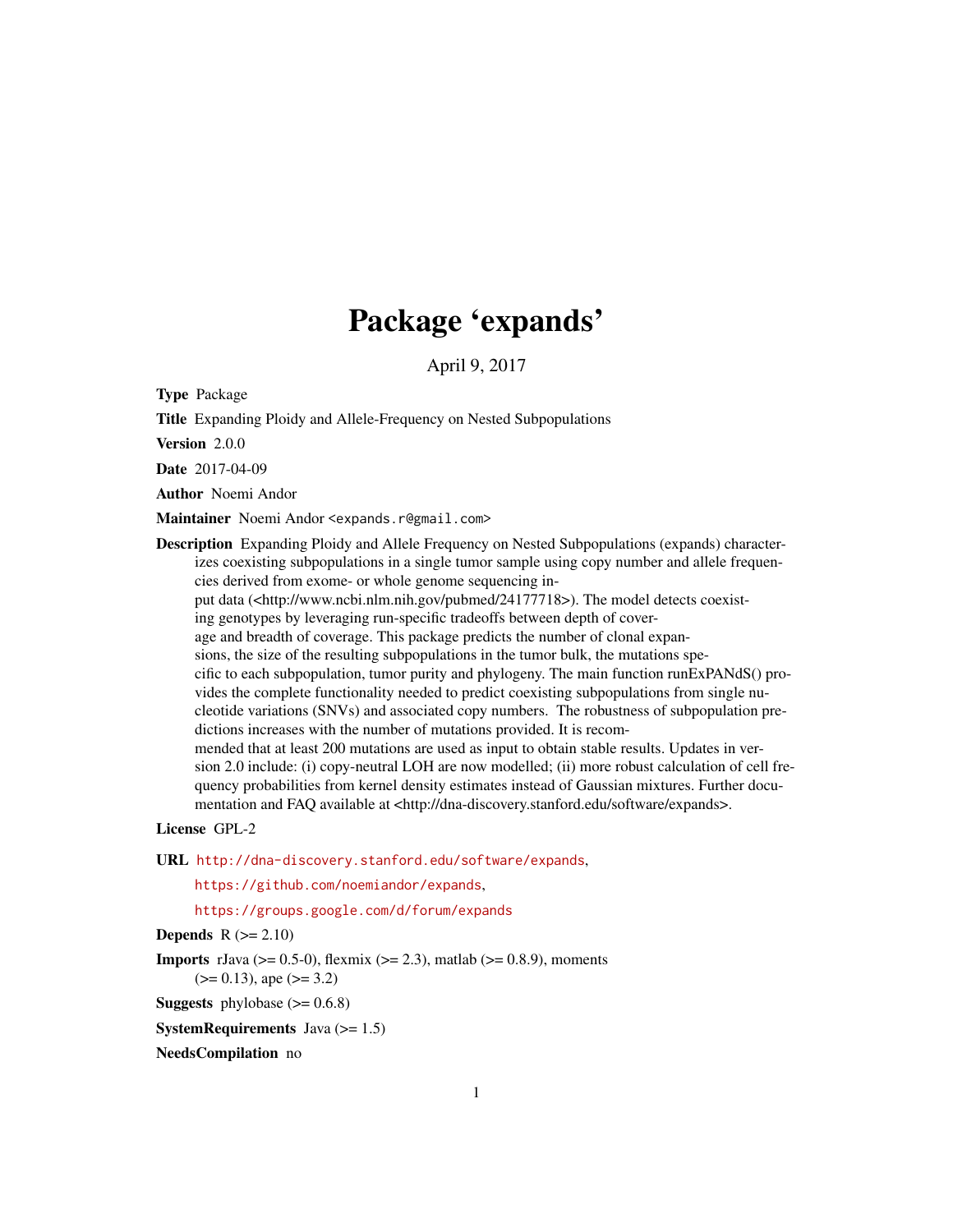## Package 'expands'

April 9, 2017

Type Package

Title Expanding Ploidy and Allele-Frequency on Nested Subpopulations

Version 2.0.0

Date 2017-04-09

Author Noemi Andor

Maintainer Noemi Andor <expands.r@gmail.com>

Description Expanding Ploidy and Allele Frequency on Nested Subpopulations (expands) characterizes coexisting subpopulations in a single tumor sample using copy number and allele frequencies derived from exome- or whole genome sequencing input data (<http://www.ncbi.nlm.nih.gov/pubmed/24177718>). The model detects coexist-

ing genotypes by leveraging run-specific tradeoffs between depth of cover-

age and breadth of coverage. This package predicts the number of clonal expan-

sions, the size of the resulting subpopulations in the tumor bulk, the mutations specific to each subpopulation, tumor purity and phylogeny. The main function runExPANdS() provides the complete functionality needed to predict coexisting subpopulations from single nucleotide variations (SNVs) and associated copy numbers. The robustness of subpopulation predictions increases with the number of mutations provided. It is recommended that at least 200 mutations are used as input to obtain stable results. Updates in ver-

sion 2.0 include: (i) copy-neutral LOH are now modelled; (ii) more robust calculation of cell frequency probabilities from kernel density estimates instead of Gaussian mixtures. Further documentation and FAQ available at <http://dna-discovery.stanford.edu/software/expands>.

#### License GPL-2

URL <http://dna-discovery.stanford.edu/software/expands>,

<https://github.com/noemiandor/expands>,

<https://groups.google.com/d/forum/expands>

#### **Depends**  $R$  ( $>= 2.10$ )

**Imports** rJava ( $>= 0.5-0$ ), flexmix ( $>= 2.3$ ), matlab ( $>= 0.8.9$ ), moments  $(>= 0.13)$ , ape  $(>= 3.2)$ 

**Suggests** phylobase  $(>= 0.6.8)$ 

**SystemRequirements** Java  $(>= 1.5)$ 

NeedsCompilation no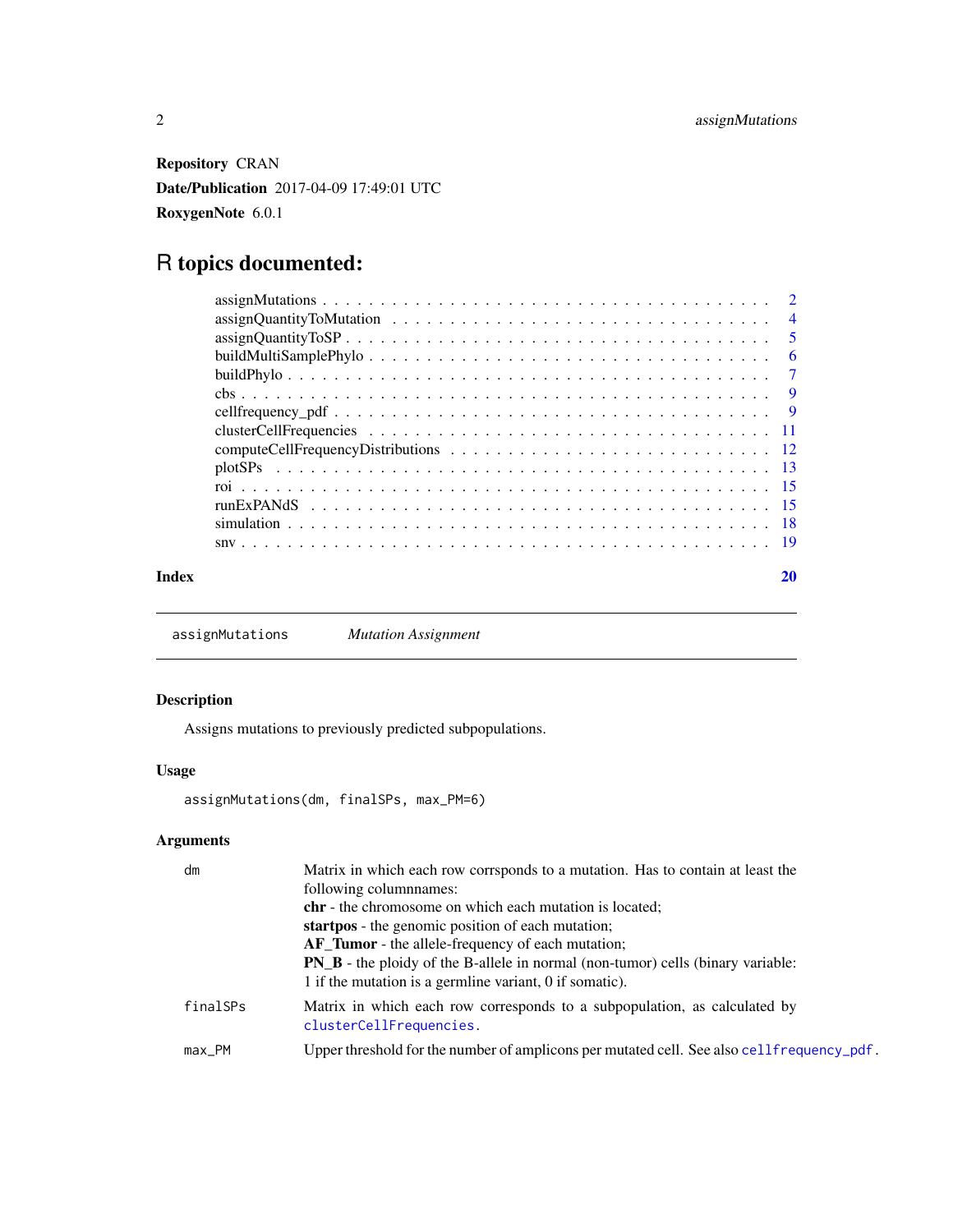<span id="page-1-0"></span>Repository CRAN Date/Publication 2017-04-09 17:49:01 UTC RoxygenNote 6.0.1

## R topics documented:

| $\overline{4}$ |
|----------------|
| $\overline{5}$ |
| 6              |
| $\overline{7}$ |
|                |
|                |
|                |
|                |
|                |
|                |
|                |
|                |
|                |
|                |

#### $\bf 1$ ndex  $\bf 20$  $\bf 20$

<span id="page-1-1"></span>assignMutations *Mutation Assignment*

#### Description

Assigns mutations to previously predicted subpopulations.

#### Usage

assignMutations(dm, finalSPs, max\_PM=6)

### Arguments

| dm       | Matrix in which each row corrsponds to a mutation. Has to contain at least the                       |
|----------|------------------------------------------------------------------------------------------------------|
|          | following columnames:                                                                                |
|          | chr - the chromosome on which each mutation is located;                                              |
|          | startpos - the genomic position of each mutation;                                                    |
|          | AF_Tumor - the allele-frequency of each mutation;                                                    |
|          | <b>PN_B</b> - the ploidy of the B-allele in normal (non-tumor) cells (binary variable:               |
|          | 1 if the mutation is a germline variant, 0 if somatic).                                              |
| finalSPs | Matrix in which each row corresponds to a subpopulation, as calculated by<br>clusterCellFrequencies. |
| max_PM   | Upper threshold for the number of amplicons per mutated cell. See also cellfrequency_pdf.            |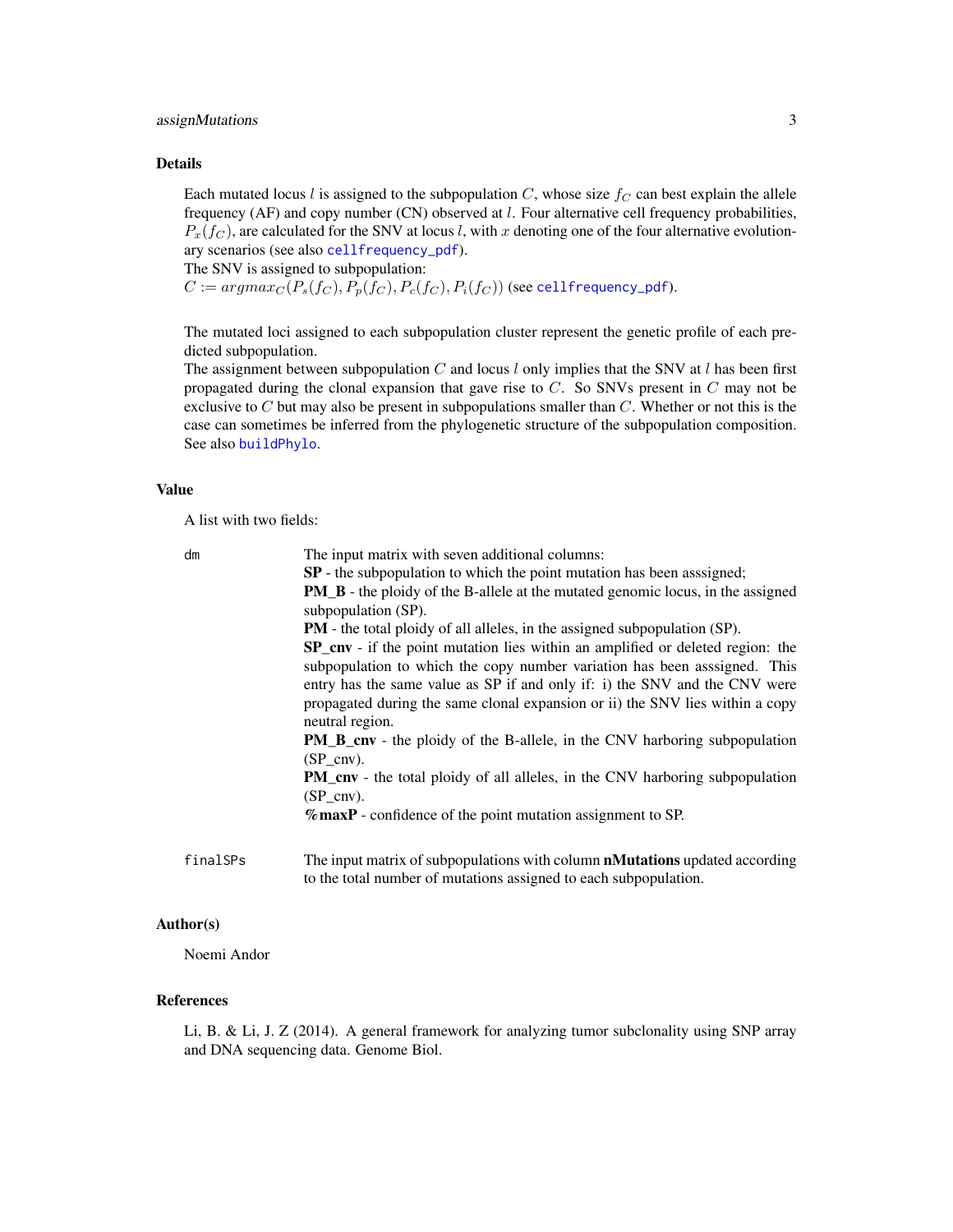#### <span id="page-2-0"></span>assignMutations 3

#### Details

Each mutated locus l is assigned to the subpopulation C, whose size  $f_C$  can best explain the allele frequency (AF) and copy number (CN) observed at l. Four alternative cell frequency probabilities,  $P_x(f_C)$ , are calculated for the SNV at locus l, with x denoting one of the four alternative evolutionary scenarios (see also [cellfrequency\\_pdf](#page-8-1)).

The SNV is assigned to subpopulation:

 $C := argmax_C(P_s(f_C), P_p(f_C), P_c(f_C), P_i(f_C))$  (see [cellfrequency\\_pdf](#page-8-1)).

The mutated loci assigned to each subpopulation cluster represent the genetic profile of each predicted subpopulation.

The assignment between subpopulation C and locus l only implies that the SNV at l has been first propagated during the clonal expansion that gave rise to  $C$ . So SNVs present in  $C$  may not be exclusive to  $C$  but may also be present in subpopulations smaller than  $C$ . Whether or not this is the case can sometimes be inferred from the phylogenetic structure of the subpopulation composition. See also [buildPhylo](#page-6-1).

#### Value

A list with two fields:

| dm       | The input matrix with seven additional columns:                                        |
|----------|----------------------------------------------------------------------------------------|
|          | <b>SP</b> - the subpopulation to which the point mutation has been assigned;           |
|          | <b>PM_B</b> - the ploidy of the B-allele at the mutated genomic locus, in the assigned |
|          | subpopulation (SP).                                                                    |
|          | <b>PM</b> - the total ploidy of all alleles, in the assigned subpopulation (SP).       |
|          | <b>SP_cnv</b> - if the point mutation lies within an amplified or deleted region: the  |
|          | subpopulation to which the copy number variation has been assigned. This               |
|          | entry has the same value as SP if and only if: i) the SNV and the CNV were             |
|          | propagated during the same clonal expansion or ii) the SNV lies within a copy          |
|          | neutral region.                                                                        |
|          | <b>PM_B_cnv</b> - the ploidy of the B-allele, in the CNV harboring subpopulation       |
|          | $(SP_{ir}$                                                                             |
|          | <b>PM_cnv</b> - the total ploidy of all alleles, in the CNV harboring subpopulation    |
|          | $(SP$ cnv).                                                                            |
|          | $%$ maxP - confidence of the point mutation assignment to SP.                          |
|          |                                                                                        |
| finalSPs | The input matrix of subpopulations with column <b>nMutations</b> updated according     |

#### Author(s)

Noemi Andor

#### References

Li, B. & Li, J. Z (2014). A general framework for analyzing tumor subclonality using SNP array and DNA sequencing data. Genome Biol.

to the total number of mutations assigned to each subpopulation.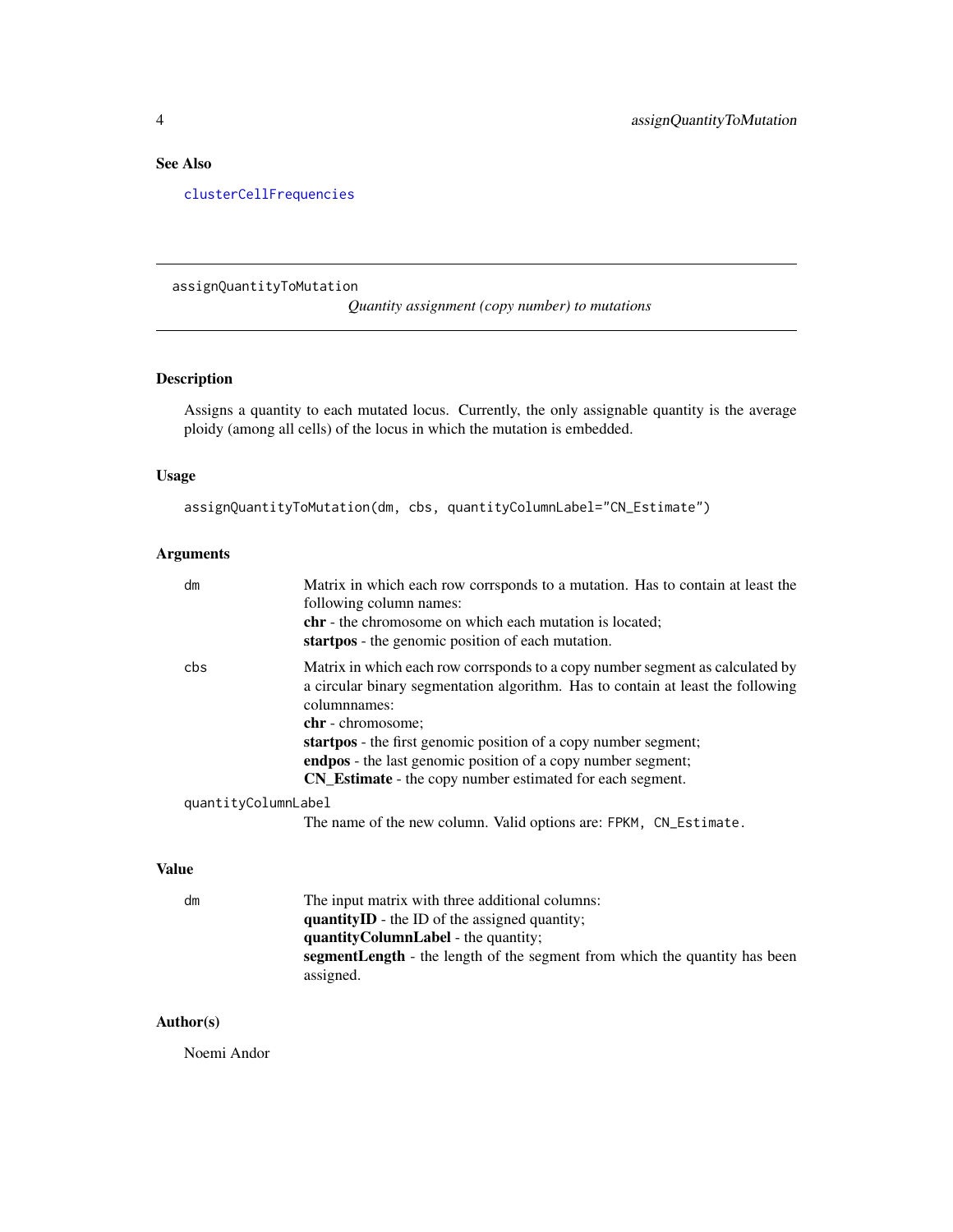#### <span id="page-3-0"></span>See Also

[clusterCellFrequencies](#page-10-1)

<span id="page-3-1"></span>assignQuantityToMutation

*Quantity assignment (copy number) to mutations*

#### Description

Assigns a quantity to each mutated locus. Currently, the only assignable quantity is the average ploidy (among all cells) of the locus in which the mutation is embedded.

#### Usage

```
assignQuantityToMutation(dm, cbs, quantityColumnLabel="CN_Estimate")
```
#### Arguments

|              | dm                  | Matrix in which each row corrsponds to a mutation. Has to contain at least the<br>following column names:                                                                                                    |
|--------------|---------------------|--------------------------------------------------------------------------------------------------------------------------------------------------------------------------------------------------------------|
|              |                     | <b>chr</b> - the chromosome on which each mutation is located;<br>startpos - the genomic position of each mutation.                                                                                          |
| cbs          |                     | Matrix in which each row corrsponds to a copy number segment as calculated by<br>a circular binary segmentation algorithm. Has to contain at least the following<br>columnnames:<br><b>chr</b> - chromosome: |
|              |                     | startpos - the first genomic position of a copy number segment;                                                                                                                                              |
|              |                     | <b>endpos</b> - the last genomic position of a copy number segment;                                                                                                                                          |
|              |                     | CN_Estimate - the copy number estimated for each segment.                                                                                                                                                    |
|              | quantityColumnLabel |                                                                                                                                                                                                              |
|              |                     | The name of the new column. Valid options are: FPKM, CN_Estimate.                                                                                                                                            |
|              |                     |                                                                                                                                                                                                              |
| <b>Value</b> |                     |                                                                                                                                                                                                              |
|              | dm                  | The input matrix with three additional columns:                                                                                                                                                              |

quantityID - the ID of the assigned quantity; quantityColumnLabel - the quantity; segmentLength - the length of the segment from which the quantity has been

#### Author(s)

Noemi Andor

assigned.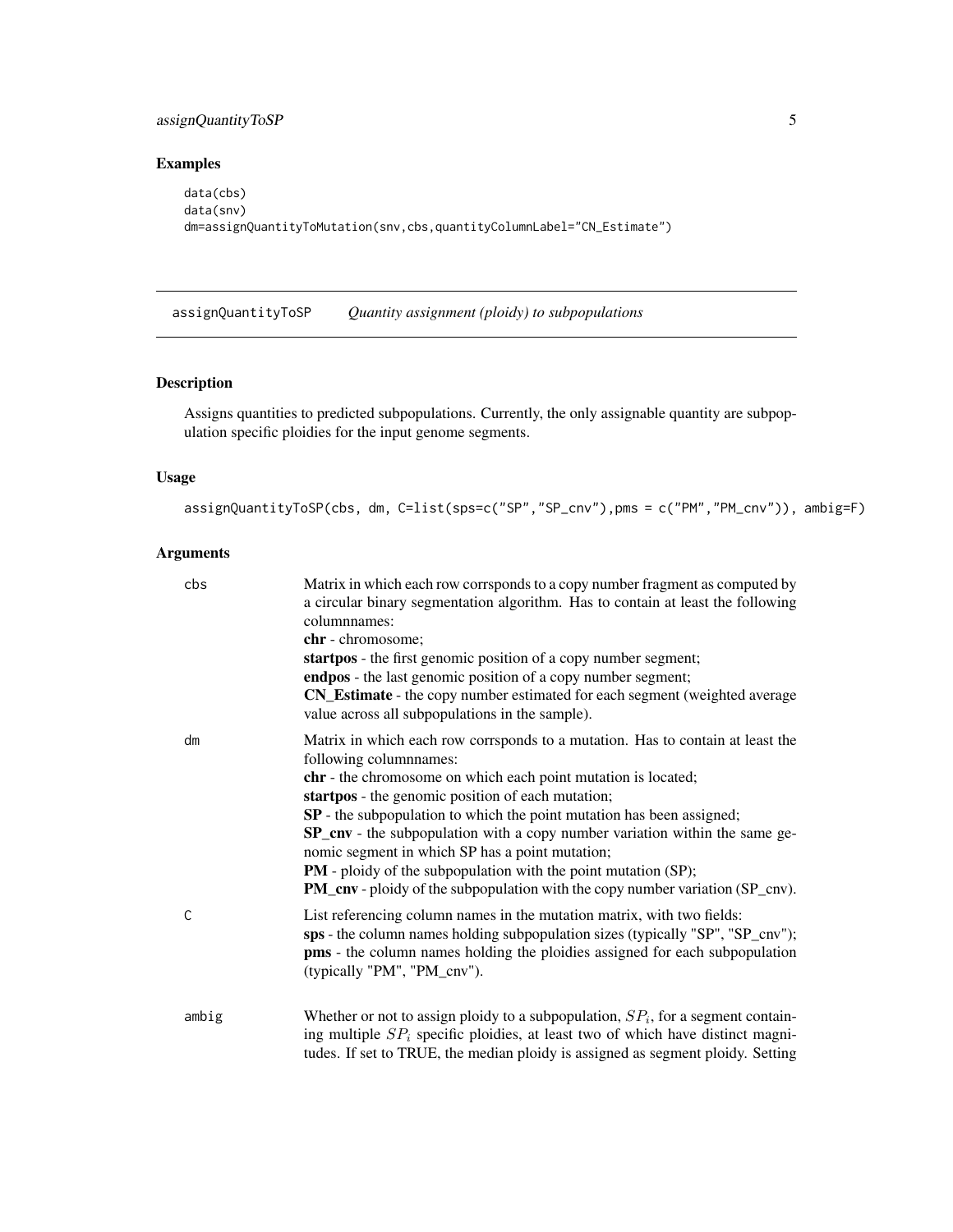#### <span id="page-4-0"></span>assignQuantityToSP 5

#### Examples

```
data(cbs)
data(snv)
dm=assignQuantityToMutation(snv,cbs,quantityColumnLabel="CN_Estimate")
```
<span id="page-4-1"></span>assignQuantityToSP *Quantity assignment (ploidy) to subpopulations*

#### Description

Assigns quantities to predicted subpopulations. Currently, the only assignable quantity are subpopulation specific ploidies for the input genome segments.

#### Usage

```
assignQuantityToSP(cbs, dm, C=list(sps=c("SP","SP_cnv"),pms = c("PM","PM_cnv")), ambig=F)
```
#### Arguments

| cbs   | Matrix in which each row corrsponds to a copy number fragment as computed by<br>a circular binary segmentation algorithm. Has to contain at least the following<br>columnnames:<br>chr - chromosome;<br>startpos - the first genomic position of a copy number segment;<br>endpos - the last genomic position of a copy number segment; |
|-------|-----------------------------------------------------------------------------------------------------------------------------------------------------------------------------------------------------------------------------------------------------------------------------------------------------------------------------------------|
|       | CN_Estimate - the copy number estimated for each segment (weighted average<br>value across all subpopulations in the sample).                                                                                                                                                                                                           |
| dm    | Matrix in which each row corrsponds to a mutation. Has to contain at least the<br>following columnnames:                                                                                                                                                                                                                                |
|       | chr - the chromosome on which each point mutation is located;                                                                                                                                                                                                                                                                           |
|       | startpos - the genomic position of each mutation;                                                                                                                                                                                                                                                                                       |
|       | SP - the subpopulation to which the point mutation has been assigned;<br>SP_cnv - the subpopulation with a copy number variation within the same ge-                                                                                                                                                                                    |
|       | nomic segment in which SP has a point mutation;                                                                                                                                                                                                                                                                                         |
|       | <b>PM</b> - ploidy of the subpopulation with the point mutation (SP);                                                                                                                                                                                                                                                                   |
|       | <b>PM_cnv</b> - ploidy of the subpopulation with the copy number variation (SP_cnv).                                                                                                                                                                                                                                                    |
| C     | List referencing column names in the mutation matrix, with two fields:<br>sps - the column names holding subpopulation sizes (typically "SP", "SP_cnv");<br><b>pms</b> - the column names holding the ploidies assigned for each subpopulation<br>(typically "PM", "PM_cnv").                                                           |
| ambig | Whether or not to assign ploidy to a subpopulation, $SP_i$ , for a segment contain-<br>ing multiple $SP_i$ specific ploidies, at least two of which have distinct magni-<br>tudes. If set to TRUE, the median ploidy is assigned as segment ploidy. Setting                                                                             |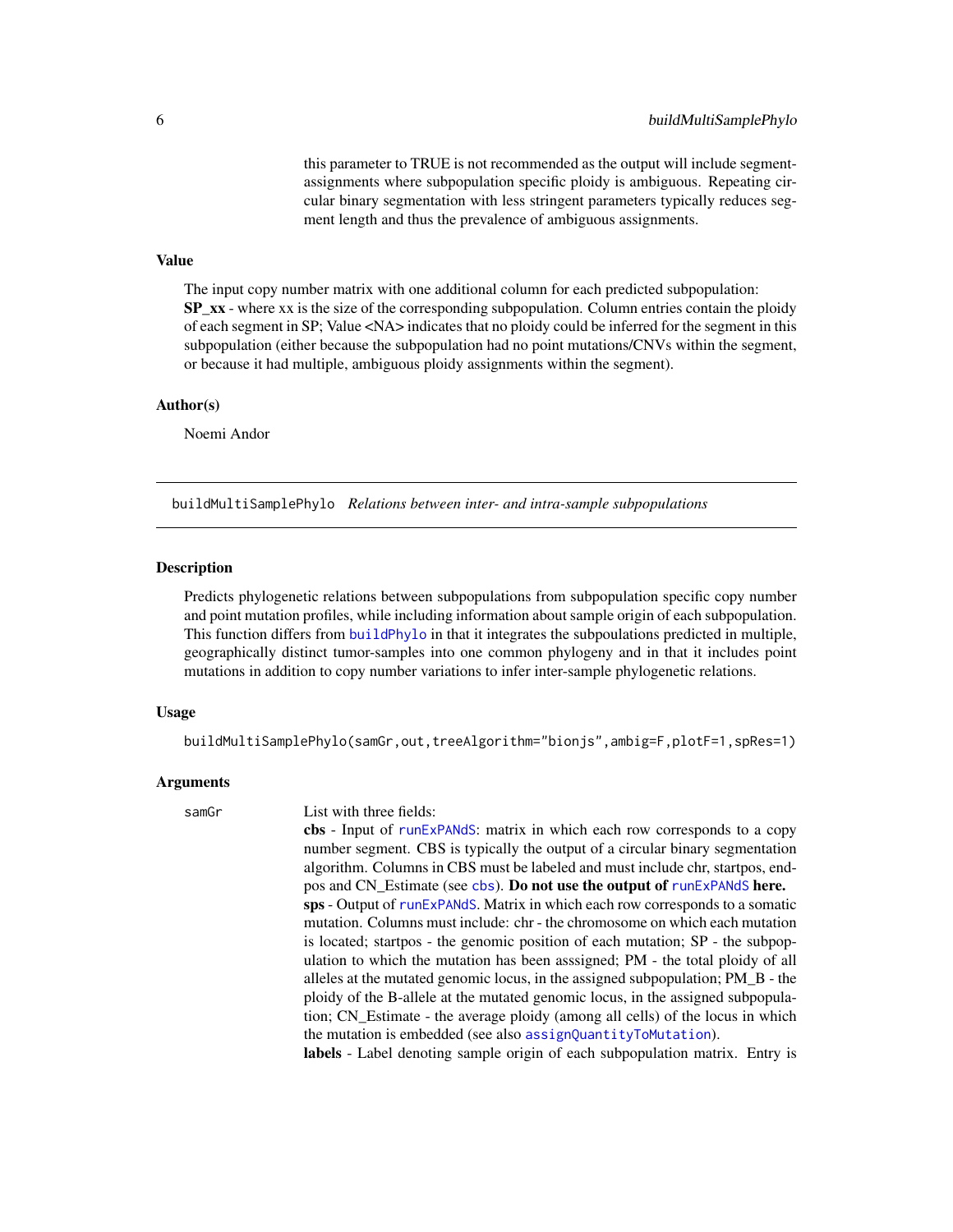this parameter to TRUE is not recommended as the output will include segmentassignments where subpopulation specific ploidy is ambiguous. Repeating circular binary segmentation with less stringent parameters typically reduces segment length and thus the prevalence of ambiguous assignments.

#### <span id="page-5-0"></span>Value

The input copy number matrix with one additional column for each predicted subpopulation:  $SP_{XX}$  - where xx is the size of the corresponding subpopulation. Column entries contain the ploidy of each segment in SP; Value <NA> indicates that no ploidy could be inferred for the segment in this subpopulation (either because the subpopulation had no point mutations/CNVs within the segment, or because it had multiple, ambiguous ploidy assignments within the segment).

#### Author(s)

Noemi Andor

buildMultiSamplePhylo *Relations between inter- and intra-sample subpopulations*

#### **Description**

Predicts phylogenetic relations between subpopulations from subpopulation specific copy number and point mutation profiles, while including information about sample origin of each subpopulation. This function differs from [buildPhylo](#page-6-1) in that it integrates the subpoulations predicted in multiple, geographically distinct tumor-samples into one common phylogeny and in that it includes point mutations in addition to copy number variations to infer inter-sample phylogenetic relations.

#### Usage

buildMultiSamplePhylo(samGr,out,treeAlgorithm="bionjs",ambig=F,plotF=1,spRes=1)

#### Arguments

#### samGr List with three fields:

cbs - Input of [runExPANdS](#page-14-1): matrix in which each row corresponds to a copy number segment. CBS is typically the output of a circular binary segmentation algorithm. Columns in CBS must be labeled and must include chr, startpos, endpos and CN\_Estimate (see [cbs](#page-8-2)). Do not use the output of [runExPANdS](#page-14-1) here. sps - Output of [runExPANdS](#page-14-1). Matrix in which each row corresponds to a somatic mutation. Columns must include: chr - the chromosome on which each mutation is located; startpos - the genomic position of each mutation; SP - the subpopulation to which the mutation has been asssigned; PM - the total ploidy of all alleles at the mutated genomic locus, in the assigned subpopulation; PM\_B - the ploidy of the B-allele at the mutated genomic locus, in the assigned subpopulation; CN\_Estimate - the average ploidy (among all cells) of the locus in which the mutation is embedded (see also [assignQuantityToMutation](#page-3-1)).

labels - Label denoting sample origin of each subpopulation matrix. Entry is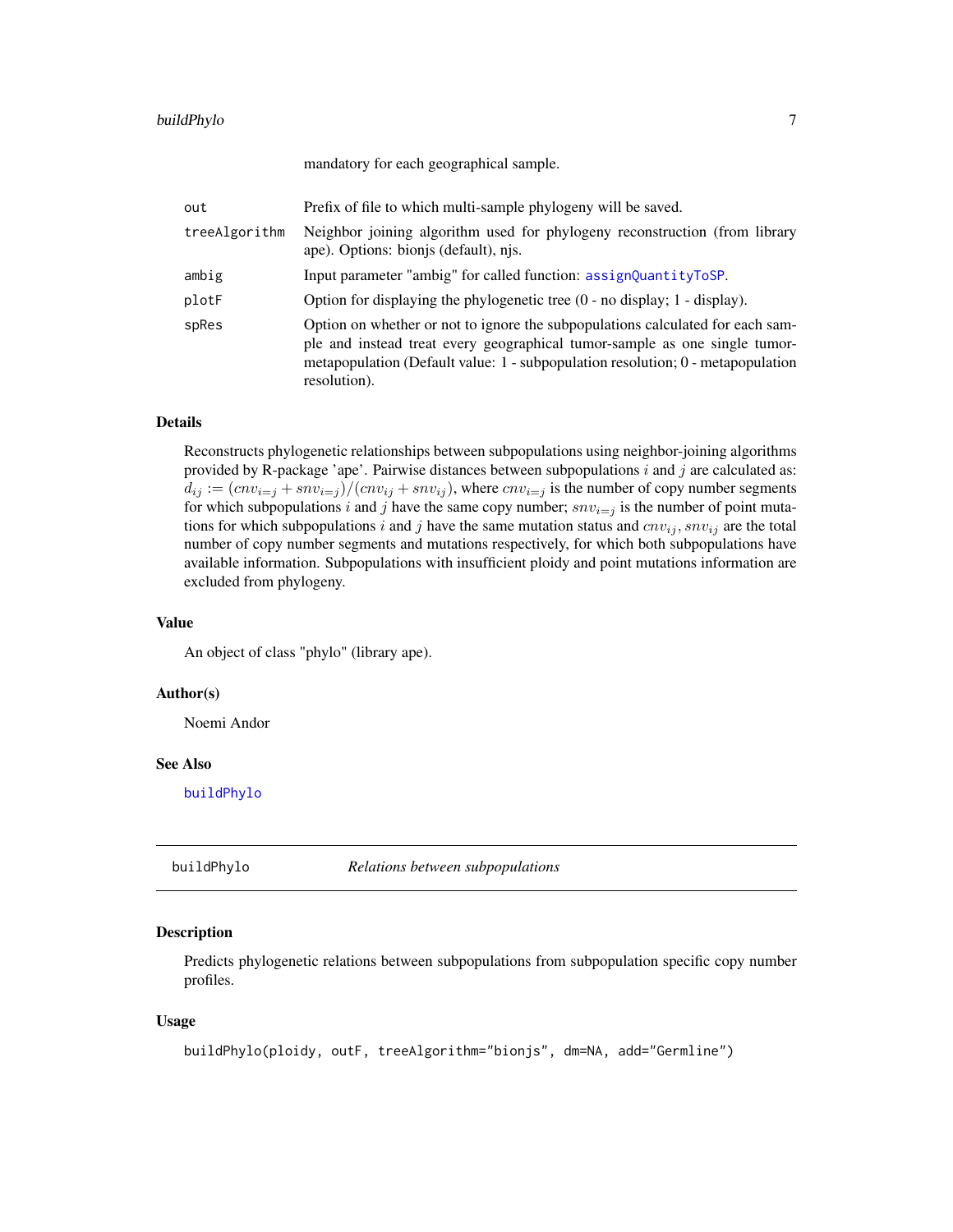#### <span id="page-6-0"></span>buildPhylo 7

mandatory for each geographical sample.

| out           | Prefix of file to which multi-sample phylogeny will be saved.                                                                                                                                                                                                       |
|---------------|---------------------------------------------------------------------------------------------------------------------------------------------------------------------------------------------------------------------------------------------------------------------|
| treeAlgorithm | Neighbor joining algorithm used for phylogeny reconstruction (from library<br>ape). Options: bionis (default), njs.                                                                                                                                                 |
| ambig         | Input parameter "ambig" for called function: assignQuantityToSP.                                                                                                                                                                                                    |
| plotF         | Option for displaying the phylogenetic tree $(0 - no display)$ display; 1 - display).                                                                                                                                                                               |
| spRes         | Option on whether or not to ignore the subpopulations calculated for each sam-<br>ple and instead treat every geographical tumor-sample as one single tumor-<br>metapopulation (Default value: $1$ - subpopulation resolution; $0$ - metapopulation<br>resolution). |

#### Details

Reconstructs phylogenetic relationships between subpopulations using neighbor-joining algorithms provided by R-package 'ape'. Pairwise distances between subpopulations  $i$  and  $j$  are calculated as:  $d_{ij} := (c n v_{i=j} + sn v_{i=j})/(c n v_{ij} + sn v_{ij})$ , where  $c n v_{i=j}$  is the number of copy number segments for which subpopulations i and j have the same copy number;  $snv_{i=j}$  is the number of point mutations for which subpopulations i and j have the same mutation status and  $cnv_{ij}$ ,  $snv_{ij}$  are the total number of copy number segments and mutations respectively, for which both subpopulations have available information. Subpopulations with insufficient ploidy and point mutations information are excluded from phylogeny.

#### Value

An object of class "phylo" (library ape).

#### Author(s)

Noemi Andor

#### See Also

[buildPhylo](#page-6-1)

<span id="page-6-1"></span>

buildPhylo *Relations between subpopulations*

#### Description

Predicts phylogenetic relations between subpopulations from subpopulation specific copy number profiles.

#### Usage

```
buildPhylo(ploidy, outF, treeAlgorithm="bionjs", dm=NA, add="Germline")
```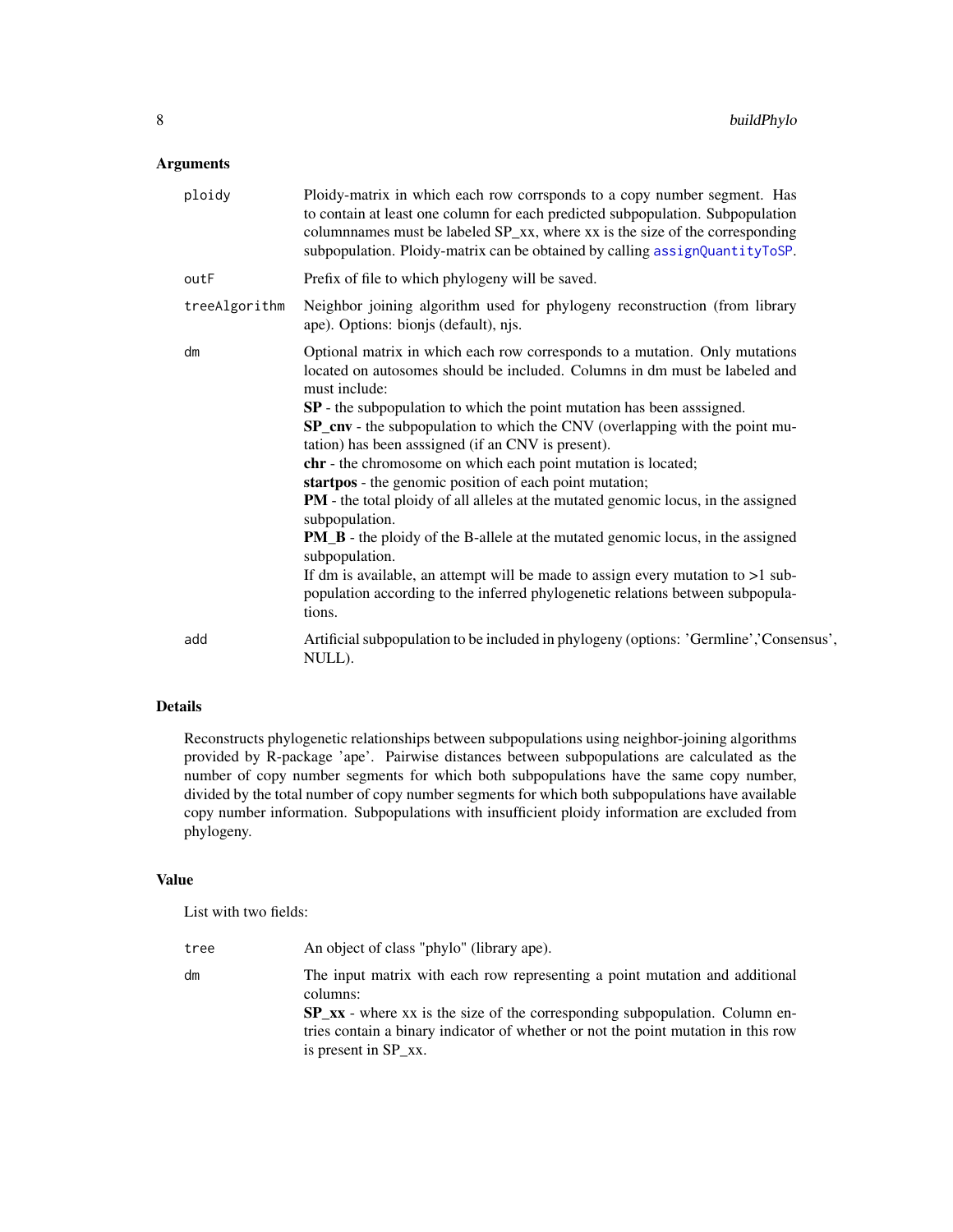| ploidy        | Ploidy-matrix in which each row corrsponds to a copy number segment. Has<br>to contain at least one column for each predicted subpopulation. Subpopulation<br>columnnames must be labeled SP_xx, where xx is the size of the corresponding<br>subpopulation. Ploidy-matrix can be obtained by calling assignQuantityToSP.                                                                                                                                                                                                                                                                                                                                                                                                                                                                                                                                                                                                 |
|---------------|---------------------------------------------------------------------------------------------------------------------------------------------------------------------------------------------------------------------------------------------------------------------------------------------------------------------------------------------------------------------------------------------------------------------------------------------------------------------------------------------------------------------------------------------------------------------------------------------------------------------------------------------------------------------------------------------------------------------------------------------------------------------------------------------------------------------------------------------------------------------------------------------------------------------------|
| outF          | Prefix of file to which phylogeny will be saved.                                                                                                                                                                                                                                                                                                                                                                                                                                                                                                                                                                                                                                                                                                                                                                                                                                                                          |
| treeAlgorithm | Neighbor joining algorithm used for phylogeny reconstruction (from library<br>ape). Options: bionjs (default), njs.                                                                                                                                                                                                                                                                                                                                                                                                                                                                                                                                                                                                                                                                                                                                                                                                       |
| dm            | Optional matrix in which each row corresponds to a mutation. Only mutations<br>located on autosomes should be included. Columns in dm must be labeled and<br>must include:<br>SP - the subpopulation to which the point mutation has been asssigned.<br>SP_cnv - the subpopulation to which the CNV (overlapping with the point mu-<br>tation) has been assigned (if an CNV is present).<br>chr - the chromosome on which each point mutation is located;<br>startpos - the genomic position of each point mutation;<br>PM - the total ploidy of all alleles at the mutated genomic locus, in the assigned<br>subpopulation.<br><b>PM_B</b> - the ploidy of the B-allele at the mutated genomic locus, in the assigned<br>subpopulation.<br>If dm is available, an attempt will be made to assign every mutation to $>1$ sub-<br>population according to the inferred phylogenetic relations between subpopula-<br>tions. |
| add           | Artificial subpopulation to be included in phylogeny (options: 'Germline','Consensus',<br>NULL).                                                                                                                                                                                                                                                                                                                                                                                                                                                                                                                                                                                                                                                                                                                                                                                                                          |
|               |                                                                                                                                                                                                                                                                                                                                                                                                                                                                                                                                                                                                                                                                                                                                                                                                                                                                                                                           |

#### Details

Reconstructs phylogenetic relationships between subpopulations using neighbor-joining algorithms provided by R-package 'ape'. Pairwise distances between subpopulations are calculated as the number of copy number segments for which both subpopulations have the same copy number, divided by the total number of copy number segments for which both subpopulations have available copy number information. Subpopulations with insufficient ploidy information are excluded from phylogeny.

#### Value

List with two fields:

| tree | An object of class "phylo" (library ape).                                               |
|------|-----------------------------------------------------------------------------------------|
| dm   | The input matrix with each row representing a point mutation and additional<br>columns: |
|      | $SP_{\text{xx}}$ - where xx is the size of the corresponding subpopulation. Column en-  |
|      | tries contain a binary indicator of whether or not the point mutation in this row       |
|      | is present in SP_xx.                                                                    |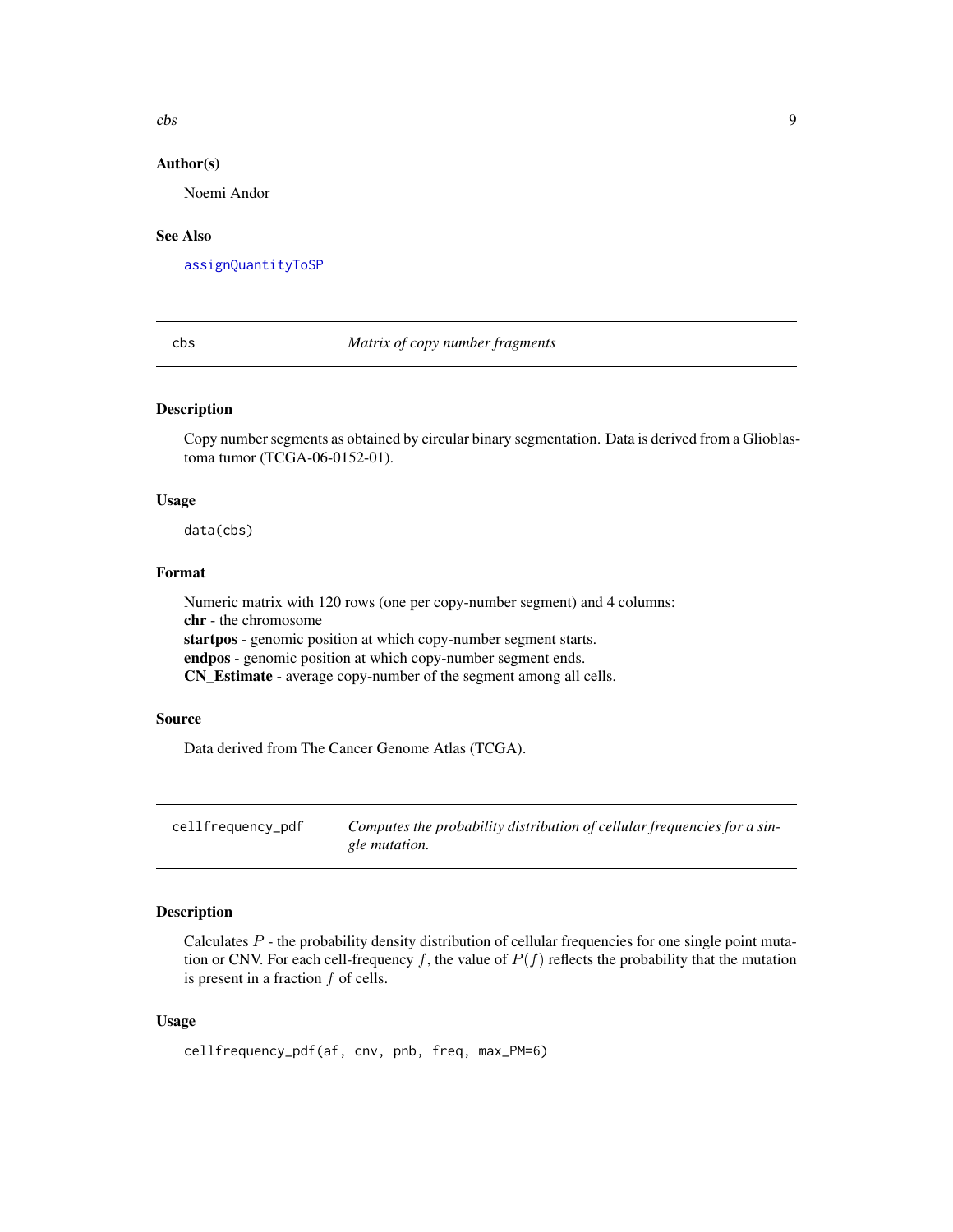<span id="page-8-0"></span> $\cos$  9

#### Author(s)

Noemi Andor

#### See Also

[assignQuantityToSP](#page-4-1)

#### <span id="page-8-2"></span>cbs *Matrix of copy number fragments*

#### Description

Copy number segments as obtained by circular binary segmentation. Data is derived from a Glioblastoma tumor (TCGA-06-0152-01).

#### Usage

data(cbs)

#### Format

Numeric matrix with 120 rows (one per copy-number segment) and 4 columns: chr - the chromosome startpos - genomic position at which copy-number segment starts. endpos - genomic position at which copy-number segment ends. CN\_Estimate - average copy-number of the segment among all cells.

#### Source

Data derived from The Cancer Genome Atlas (TCGA).

<span id="page-8-1"></span>cellfrequency\_pdf *Computes the probability distribution of cellular frequencies for a single mutation.*

#### Description

Calculates  $P$  - the probability density distribution of cellular frequencies for one single point mutation or CNV. For each cell-frequency f, the value of  $P(f)$  reflects the probability that the mutation is present in a fraction  $f$  of cells.

#### Usage

```
cellfrequency_pdf(af, cnv, pnb, freq, max_PM=6)
```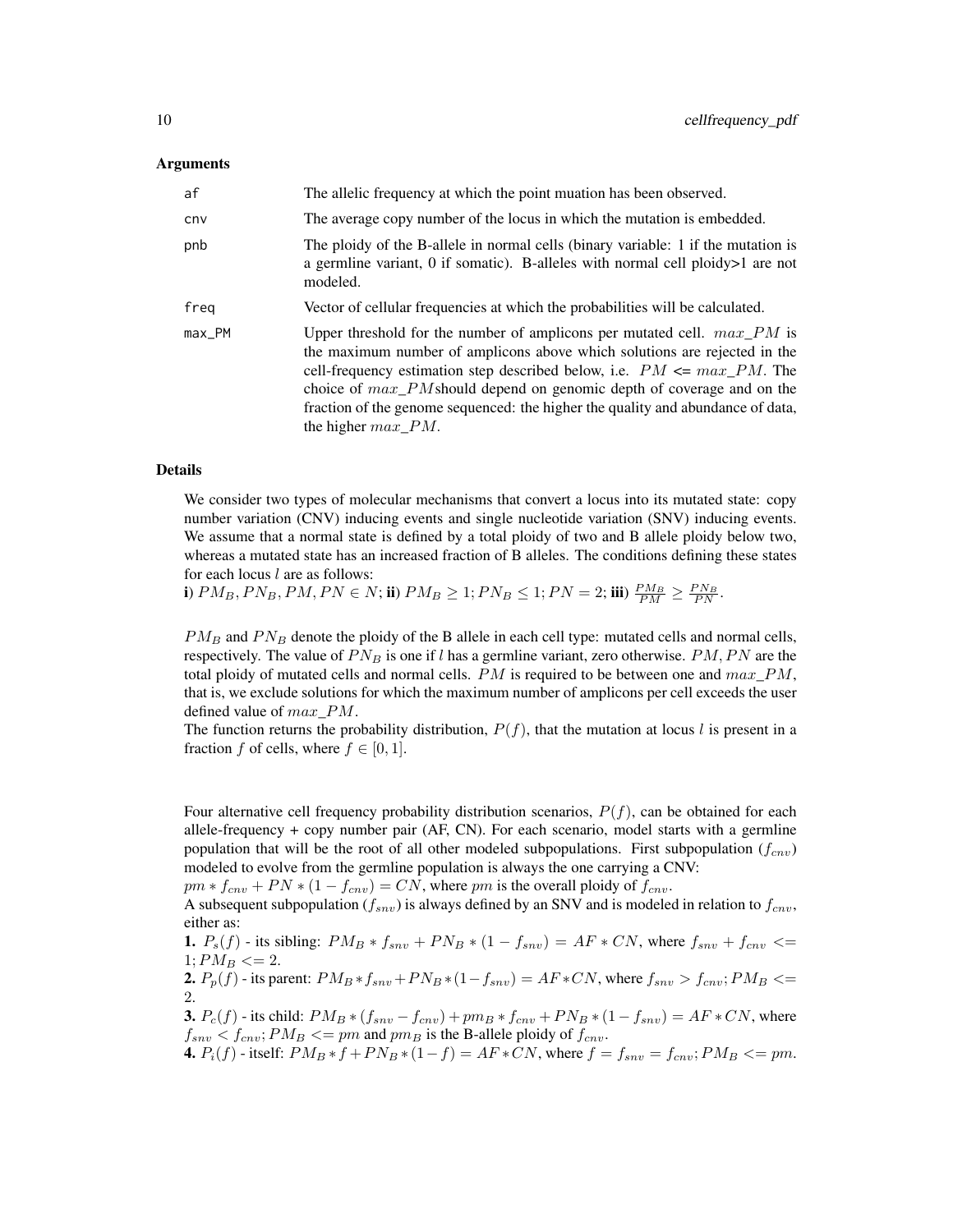| af     | The allelic frequency at which the point muation has been observed.                                                                                                                                                                                                                                                                                                                                                                |
|--------|------------------------------------------------------------------------------------------------------------------------------------------------------------------------------------------------------------------------------------------------------------------------------------------------------------------------------------------------------------------------------------------------------------------------------------|
| cnv    | The average copy number of the locus in which the mutation is embedded.                                                                                                                                                                                                                                                                                                                                                            |
| pnb    | The ploidy of the B-allele in normal cells (binary variable: 1 if the mutation is<br>a germline variant, 0 if somatic). B-alleles with normal cell ploidy $>1$ are not<br>modeled.                                                                                                                                                                                                                                                 |
| freg   | Vector of cellular frequencies at which the probabilities will be calculated.                                                                                                                                                                                                                                                                                                                                                      |
| max_PM | Upper threshold for the number of amplicons per mutated cell. $max\_PM$ is<br>the maximum number of amplicons above which solutions are rejected in the<br>cell-frequency estimation step described below, i.e. $PM \leq max\_PM$ . The<br>choice of $max\_PM$ should depend on genomic depth of coverage and on the<br>fraction of the genome sequenced: the higher the quality and abundance of data,<br>the higher $max$ $PM$ . |

#### Details

We consider two types of molecular mechanisms that convert a locus into its mutated state: copy number variation (CNV) inducing events and single nucleotide variation (SNV) inducing events. We assume that a normal state is defined by a total ploidy of two and B allele ploidy below two, whereas a mutated state has an increased fraction of B alleles. The conditions defining these states for each locus  $l$  are as follows:

i)  $PM_B, PN_B, PM, PN \in N$ ; ii)  $PM_B \ge 1; PN_B \le 1; PN = 2;$  iii)  $\frac{PM_B}{PM} \ge \frac{PN_B}{PN}$ .

 $PM_B$  and  $PN_B$  denote the ploidy of the B allele in each cell type: mutated cells and normal cells, respectively. The value of  $PN_B$  is one if l has a germline variant, zero otherwise.  $PM, PN$  are the total ploidy of mutated cells and normal cells.  $PM$  is required to be between one and  $max\_PM$ , that is, we exclude solutions for which the maximum number of amplicons per cell exceeds the user defined value of  $max\_PM$ .

The function returns the probability distribution,  $P(f)$ , that the mutation at locus l is present in a fraction f of cells, where  $f \in [0, 1]$ .

Four alternative cell frequency probability distribution scenarios,  $P(f)$ , can be obtained for each allele-frequency + copy number pair (AF, CN). For each scenario, model starts with a germline population that will be the root of all other modeled subpopulations. First subpopulation ( $f_{cnv}$ ) modeled to evolve from the germline population is always the one carrying a CNV:

 $pm * f_{cnv} + PN * (1 - f_{cnv}) = CN$ , where  $pm$  is the overall ploidy of  $f_{cnv}$ .

A subsequent subpopulation ( $f_{snv}$ ) is always defined by an SNV and is modeled in relation to  $f_{cnv}$ , either as:

**1.**  $P_s(f)$  - its sibling:  $PM_B * f_{snv} + PN_B * (1 - f_{snv}) = AF * CN$ , where  $f_{snv} + f_{cnv} \leq$  $1:PM_B \leq 2.$ 

2.  $P_p(f)$  - its parent:  $PM_B * f_{snv} + PN_B * (1 - f_{snv}) = AF * CN$ , where  $f_{snv} > f_{cnv}$ ;  $PM_B \leq$ 2.

**3.**  $P_c(f)$  - its child:  $PM_B * (f_{snv} - f_{cnv}) + pm_B * f_{cnv} + PN_B * (1 - f_{snv}) = AF * CN$ , where  $f_{snv} < f_{cnv}$ ;  $PM_B \leq p m$  and  $pm_B$  is the B-allele ploidy of  $f_{cnv}$ .

4.  $P_i(f)$  - itself:  $PM_B * f + PN_B * (1 - f) = AF * CN$ , where  $f = f_{snv} = f_{cnv}$ ;  $PM_B \leq p m$ .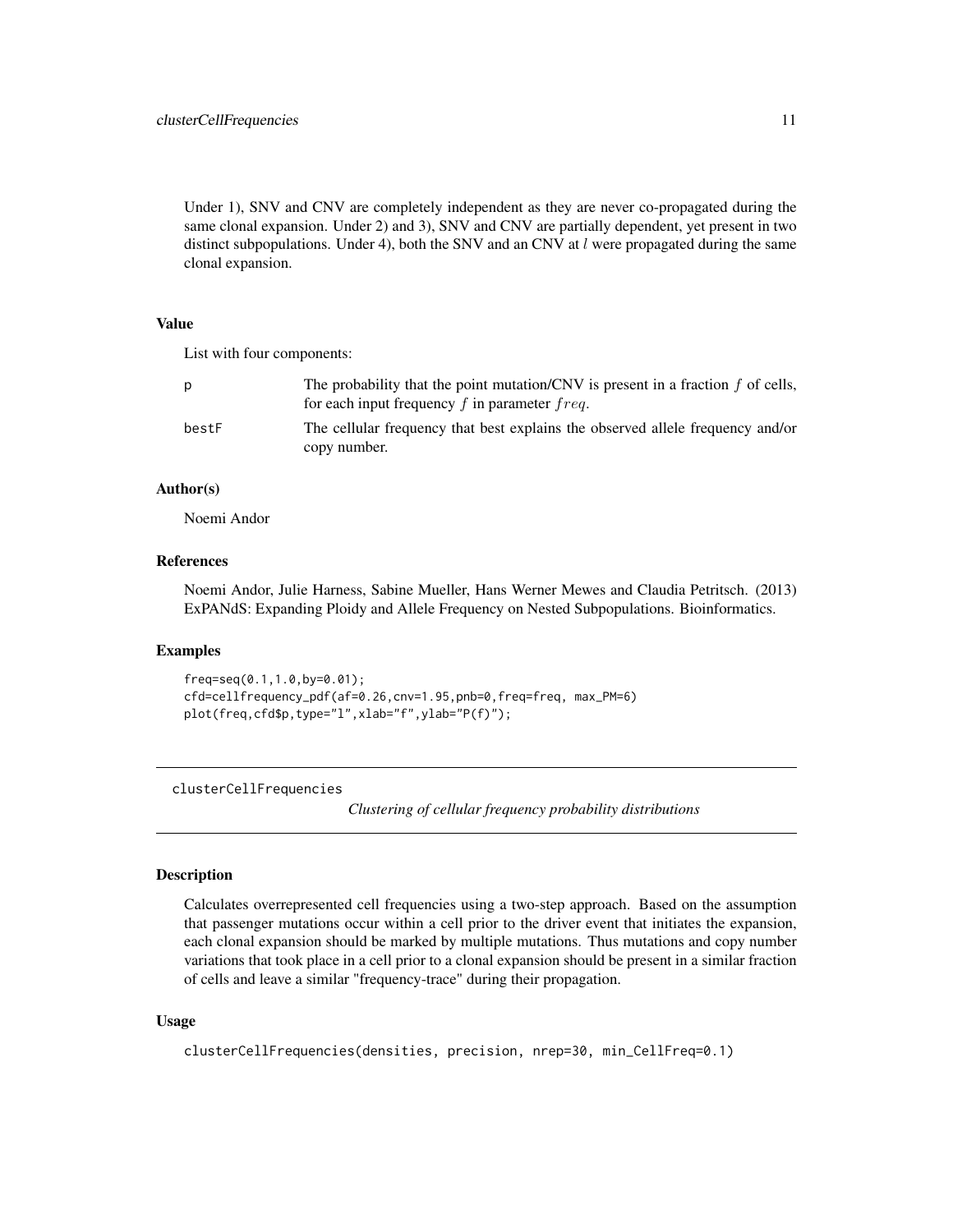<span id="page-10-0"></span>Under 1), SNV and CNV are completely independent as they are never co-propagated during the same clonal expansion. Under 2) and 3), SNV and CNV are partially dependent, yet present in two distinct subpopulations. Under 4), both the SNV and an CNV at  $l$  were propagated during the same clonal expansion.

#### Value

List with four components:

| D     | The probability that the point mutation/CNV is present in a fraction $f$ of cells,<br>for each input frequency $f$ in parameter $freq$ . |
|-------|------------------------------------------------------------------------------------------------------------------------------------------|
| bestF | The cellular frequency that best explains the observed allele frequency and/or<br>copy number.                                           |

#### Author(s)

Noemi Andor

#### References

Noemi Andor, Julie Harness, Sabine Mueller, Hans Werner Mewes and Claudia Petritsch. (2013) ExPANdS: Expanding Ploidy and Allele Frequency on Nested Subpopulations. Bioinformatics.

#### Examples

```
freq=seq(0.1,1.0,by=0.01);
cfd=cellfrequency_pdf(af=0.26,cnv=1.95,pnb=0,freq=freq, max_PM=6)
plot(freq,cfd$p,type="l",xlab="f",ylab="P(f)");
```
<span id="page-10-1"></span>clusterCellFrequencies

*Clustering of cellular frequency probability distributions*

#### Description

Calculates overrepresented cell frequencies using a two-step approach. Based on the assumption that passenger mutations occur within a cell prior to the driver event that initiates the expansion, each clonal expansion should be marked by multiple mutations. Thus mutations and copy number variations that took place in a cell prior to a clonal expansion should be present in a similar fraction of cells and leave a similar "frequency-trace" during their propagation.

#### Usage

clusterCellFrequencies(densities, precision, nrep=30, min\_CellFreq=0.1)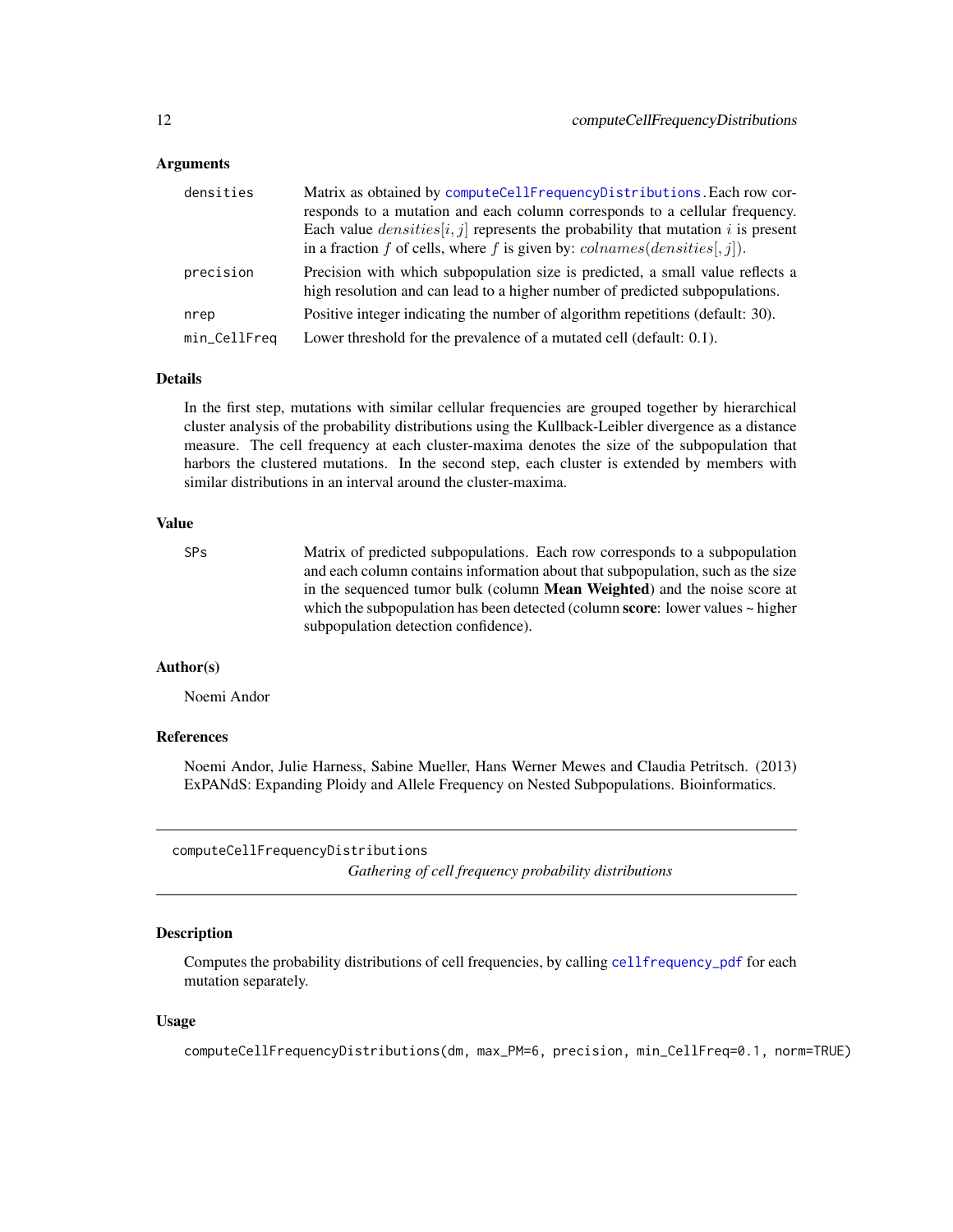<span id="page-11-0"></span>

| densities    | Matrix as obtained by computeCellFrequencyDistributions. Each row cor-<br>responds to a mutation and each column corresponds to a cellular frequency.<br>Each value $densities[i, j]$ represents the probability that mutation i is present<br>in a fraction f of cells, where f is given by: $\text{columns}(densities[, j]).$ |
|--------------|---------------------------------------------------------------------------------------------------------------------------------------------------------------------------------------------------------------------------------------------------------------------------------------------------------------------------------|
| precision    | Precision with which subpopulation size is predicted, a small value reflects a<br>high resolution and can lead to a higher number of predicted subpopulations.                                                                                                                                                                  |
| nrep         | Positive integer indicating the number of algorithm repetitions (default: 30).                                                                                                                                                                                                                                                  |
| min_CellFreq | Lower threshold for the prevalence of a mutated cell (default: 0.1).                                                                                                                                                                                                                                                            |

#### Details

In the first step, mutations with similar cellular frequencies are grouped together by hierarchical cluster analysis of the probability distributions using the Kullback-Leibler divergence as a distance measure. The cell frequency at each cluster-maxima denotes the size of the subpopulation that harbors the clustered mutations. In the second step, each cluster is extended by members with similar distributions in an interval around the cluster-maxima.

#### Value

| SP <sub>S</sub> | Matrix of predicted subpopulations. Each row corresponds to a subpopulation                 |
|-----------------|---------------------------------------------------------------------------------------------|
|                 | and each column contains information about that subpopulation, such as the size             |
|                 | in the sequenced tumor bulk (column <b>Mean Weighted</b> ) and the noise score at           |
|                 | which the subpopulation has been detected (column <b>score</b> : lower values $\sim$ higher |
|                 | subpopulation detection confidence).                                                        |

#### Author(s)

Noemi Andor

#### References

Noemi Andor, Julie Harness, Sabine Mueller, Hans Werner Mewes and Claudia Petritsch. (2013) ExPANdS: Expanding Ploidy and Allele Frequency on Nested Subpopulations. Bioinformatics.

<span id="page-11-1"></span>computeCellFrequencyDistributions

*Gathering of cell frequency probability distributions*

#### Description

Computes the probability distributions of cell frequencies, by calling [cellfrequency\\_pdf](#page-8-1) for each mutation separately.

#### Usage

computeCellFrequencyDistributions(dm, max\_PM=6, precision, min\_CellFreq=0.1, norm=TRUE)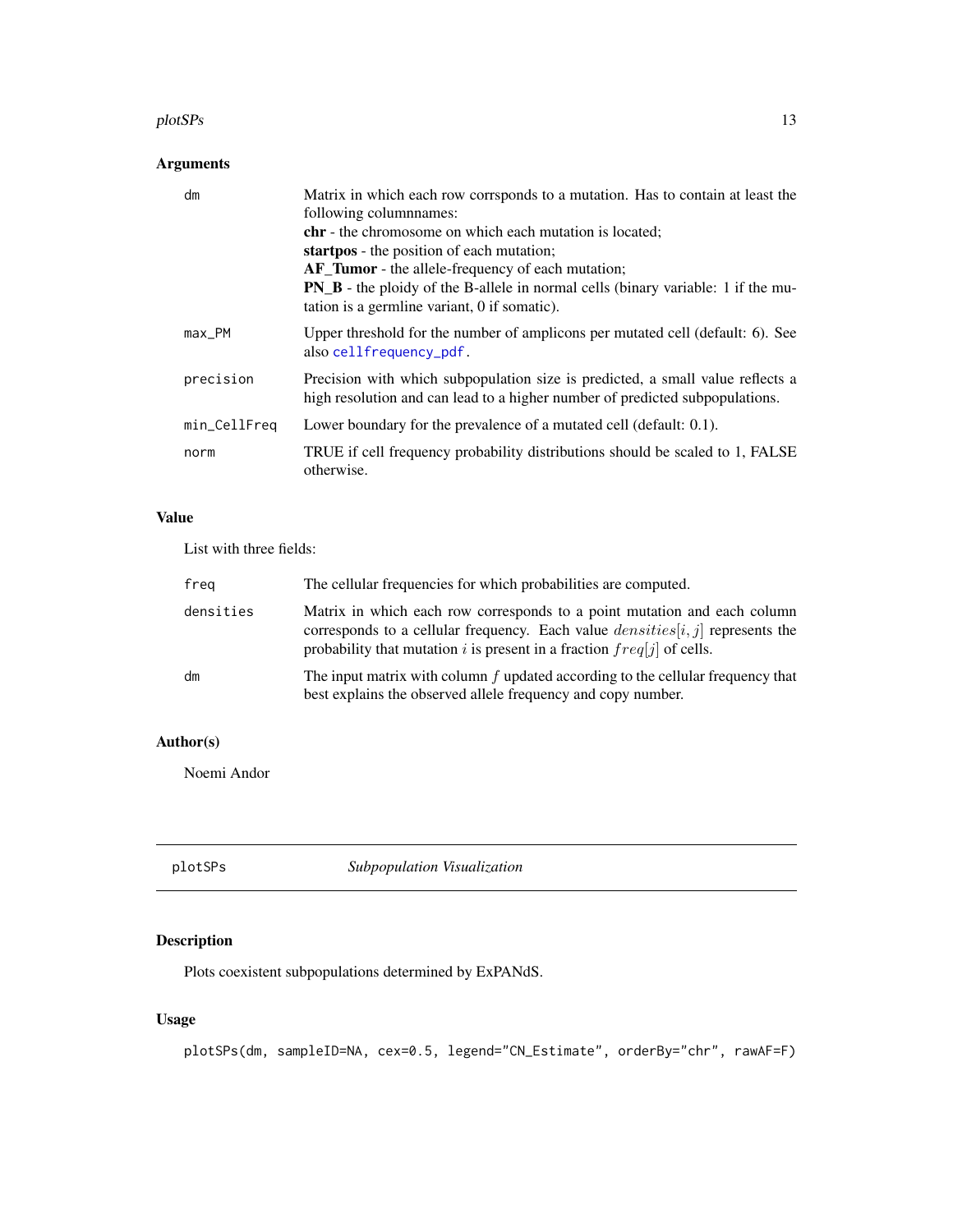#### <span id="page-12-0"></span>plotSPs and the set of the set of the set of the set of the set of the set of the set of the set of the set of the set of the set of the set of the set of the set of the set of the set of the set of the set of the set of t

#### Arguments

| dm           | Matrix in which each row corrsponds to a mutation. Has to contain at least the<br>following columnames:<br><b>chr</b> - the chromosome on which each mutation is located;<br>startpos - the position of each mutation;<br><b>AF_Tumor</b> - the allele-frequency of each mutation;<br><b>PN_B</b> - the ploidy of the B-allele in normal cells (binary variable: 1 if the mu-<br>tation is a germline variant, 0 if somatic). |
|--------------|-------------------------------------------------------------------------------------------------------------------------------------------------------------------------------------------------------------------------------------------------------------------------------------------------------------------------------------------------------------------------------------------------------------------------------|
| $max$ PM     | Upper threshold for the number of amplicons per mutated cell (default: 6). See<br>also cellfrequency_pdf.                                                                                                                                                                                                                                                                                                                     |
| precision    | Precision with which subpopulation size is predicted, a small value reflects a<br>high resolution and can lead to a higher number of predicted subpopulations.                                                                                                                                                                                                                                                                |
| min_CellFreq | Lower boundary for the prevalence of a mutated cell (default: 0.1).                                                                                                                                                                                                                                                                                                                                                           |
| norm         | TRUE if cell frequency probability distributions should be scaled to 1, FALSE<br>otherwise.                                                                                                                                                                                                                                                                                                                                   |

#### Value

List with three fields:

| freg      | The cellular frequencies for which probabilities are computed.                                                                                                                                                                           |
|-----------|------------------------------------------------------------------------------------------------------------------------------------------------------------------------------------------------------------------------------------------|
| densities | Matrix in which each row corresponds to a point mutation and each column<br>corresponds to a cellular frequency. Each value $densities[i, j]$ represents the<br>probability that mutation i is present in a fraction $freq[j]$ of cells. |
| dm        | The input matrix with column $f$ updated according to the cellular frequency that<br>best explains the observed allele frequency and copy number.                                                                                        |

#### Author(s)

Noemi Andor

plotSPs *Subpopulation Visualization*

#### Description

Plots coexistent subpopulations determined by ExPANdS.

#### Usage

plotSPs(dm, sampleID=NA, cex=0.5, legend="CN\_Estimate", orderBy="chr", rawAF=F)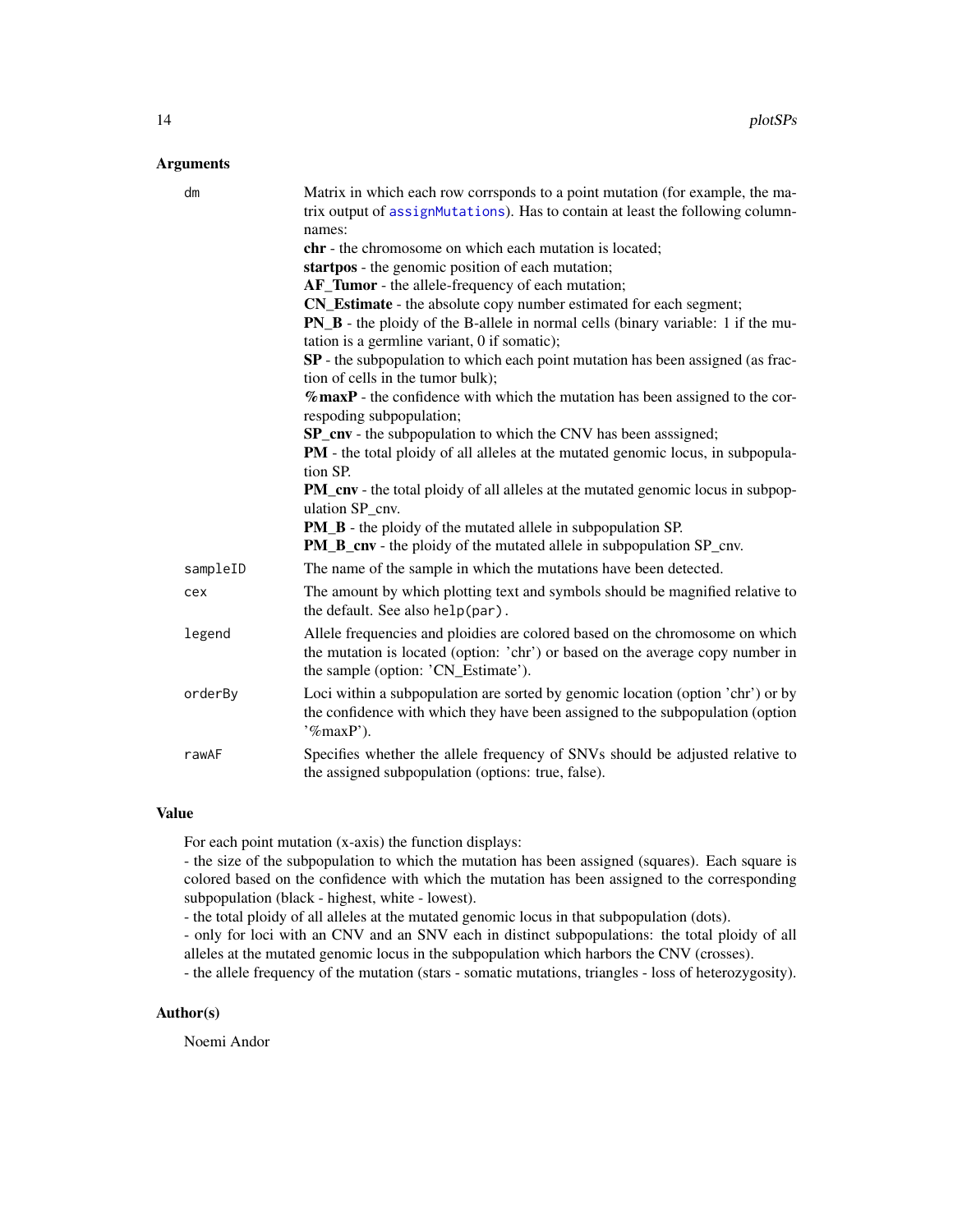<span id="page-13-0"></span>

| dm       | Matrix in which each row corrsponds to a point mutation (for example, the ma-<br>trix output of assignMutations). Has to contain at least the following column-<br>names:                             |
|----------|-------------------------------------------------------------------------------------------------------------------------------------------------------------------------------------------------------|
|          | chr - the chromosome on which each mutation is located;                                                                                                                                               |
|          | startpos - the genomic position of each mutation;                                                                                                                                                     |
|          | AF_Tumor - the allele-frequency of each mutation;                                                                                                                                                     |
|          | CN_Estimate - the absolute copy number estimated for each segment;                                                                                                                                    |
|          | PN_B - the ploidy of the B-allele in normal cells (binary variable: 1 if the mu-<br>tation is a germline variant, 0 if somatic);                                                                      |
|          | SP - the subpopulation to which each point mutation has been assigned (as frac-<br>tion of cells in the tumor bulk);                                                                                  |
|          | $%$ maxP - the confidence with which the mutation has been assigned to the cor-<br>respoding subpopulation;                                                                                           |
|          | SP_cnv - the subpopulation to which the CNV has been asssigned;                                                                                                                                       |
|          | PM - the total ploidy of all alleles at the mutated genomic locus, in subpopula-<br>tion SP.                                                                                                          |
|          | <b>PM_cnv</b> - the total ploidy of all alleles at the mutated genomic locus in subpop-<br>ulation SP cnv.                                                                                            |
|          | PM_B - the ploidy of the mutated allele in subpopulation SP.<br><b>PM_B_cnv</b> - the ploidy of the mutated allele in subpopulation SP_cnv.                                                           |
| sampleID | The name of the sample in which the mutations have been detected.                                                                                                                                     |
| cex      | The amount by which plotting text and symbols should be magnified relative to<br>the default. See also help(par).                                                                                     |
| legend   | Allele frequencies and ploidies are colored based on the chromosome on which<br>the mutation is located (option: 'chr') or based on the average copy number in<br>the sample (option: 'CN_Estimate'). |
| orderBy  | Loci within a subpopulation are sorted by genomic location (option 'chr') or by<br>the confidence with which they have been assigned to the subpopulation (option<br>$\mathcal{C}_{\text{max}}$ P').  |
| rawAF    | Specifies whether the allele frequency of SNVs should be adjusted relative to<br>the assigned subpopulation (options: true, false).                                                                   |

#### Value

For each point mutation (x-axis) the function displays:

- the size of the subpopulation to which the mutation has been assigned (squares). Each square is colored based on the confidence with which the mutation has been assigned to the corresponding subpopulation (black - highest, white - lowest).

- the total ploidy of all alleles at the mutated genomic locus in that subpopulation (dots).

- only for loci with an CNV and an SNV each in distinct subpopulations: the total ploidy of all alleles at the mutated genomic locus in the subpopulation which harbors the CNV (crosses).

- the allele frequency of the mutation (stars - somatic mutations, triangles - loss of heterozygosity).

#### Author(s)

Noemi Andor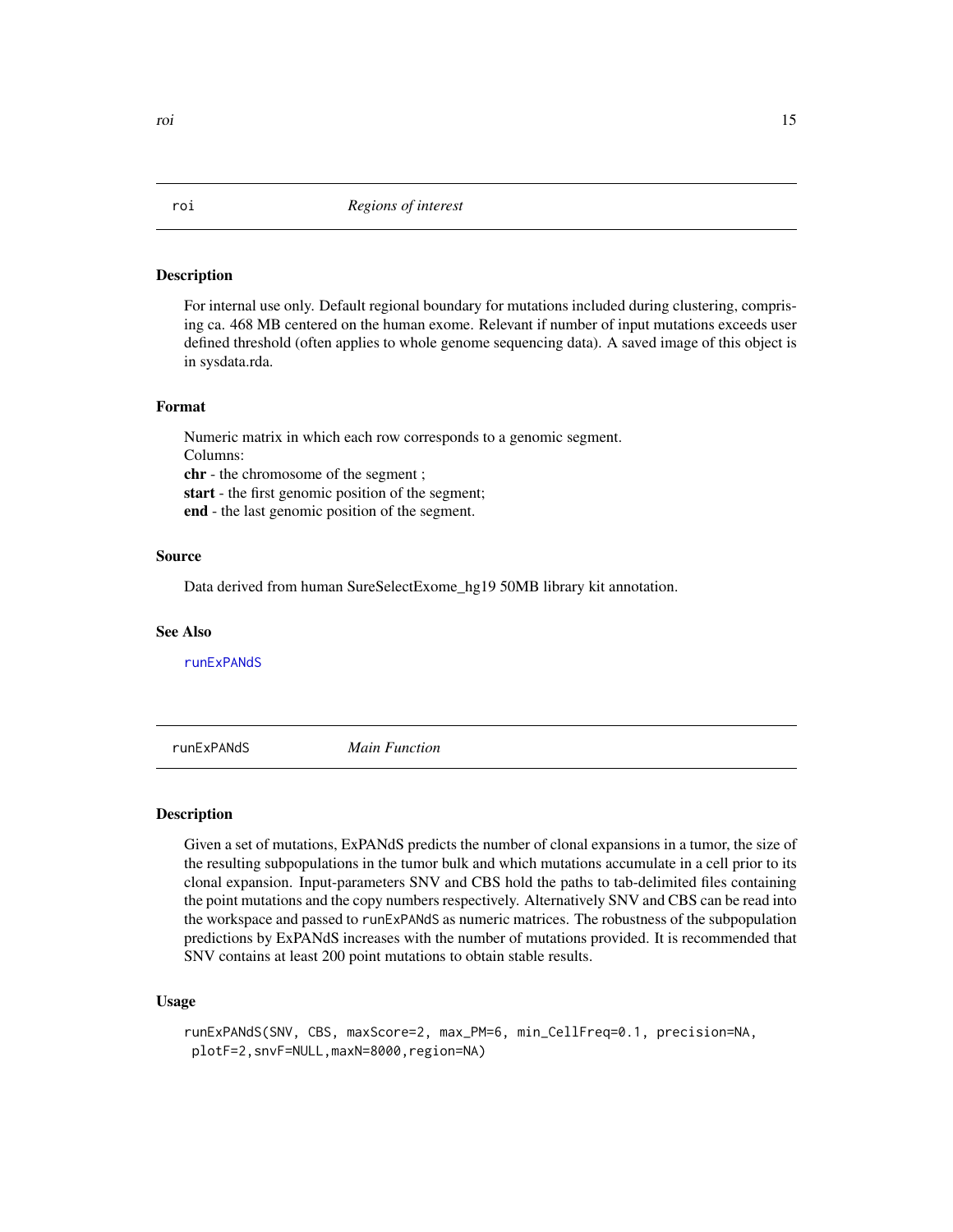#### Description

For internal use only. Default regional boundary for mutations included during clustering, comprising ca. 468 MB centered on the human exome. Relevant if number of input mutations exceeds user defined threshold (often applies to whole genome sequencing data). A saved image of this object is in sysdata.rda.

#### Format

Numeric matrix in which each row corresponds to a genomic segment. Columns: chr - the chromosome of the segment ; start - the first genomic position of the segment; end - the last genomic position of the segment.

#### Source

Data derived from human SureSelectExome\_hg19 50MB library kit annotation.

#### See Also

[runExPANdS](#page-14-1)

<span id="page-14-1"></span>runExPANdS *Main Function*

#### Description

Given a set of mutations, ExPANdS predicts the number of clonal expansions in a tumor, the size of the resulting subpopulations in the tumor bulk and which mutations accumulate in a cell prior to its clonal expansion. Input-parameters SNV and CBS hold the paths to tab-delimited files containing the point mutations and the copy numbers respectively. Alternatively SNV and CBS can be read into the workspace and passed to runExPANdS as numeric matrices. The robustness of the subpopulation predictions by ExPANdS increases with the number of mutations provided. It is recommended that SNV contains at least 200 point mutations to obtain stable results.

#### Usage

```
runExPANdS(SNV, CBS, maxScore=2, max_PM=6, min_CellFreq=0.1, precision=NA,
plotF=2,snvF=NULL,maxN=8000,region=NA)
```
<span id="page-14-0"></span>roi control de la control de la control de la control de la control de la control de la control de la control de la control de la control de la control de la control de la control de la control de la control de la control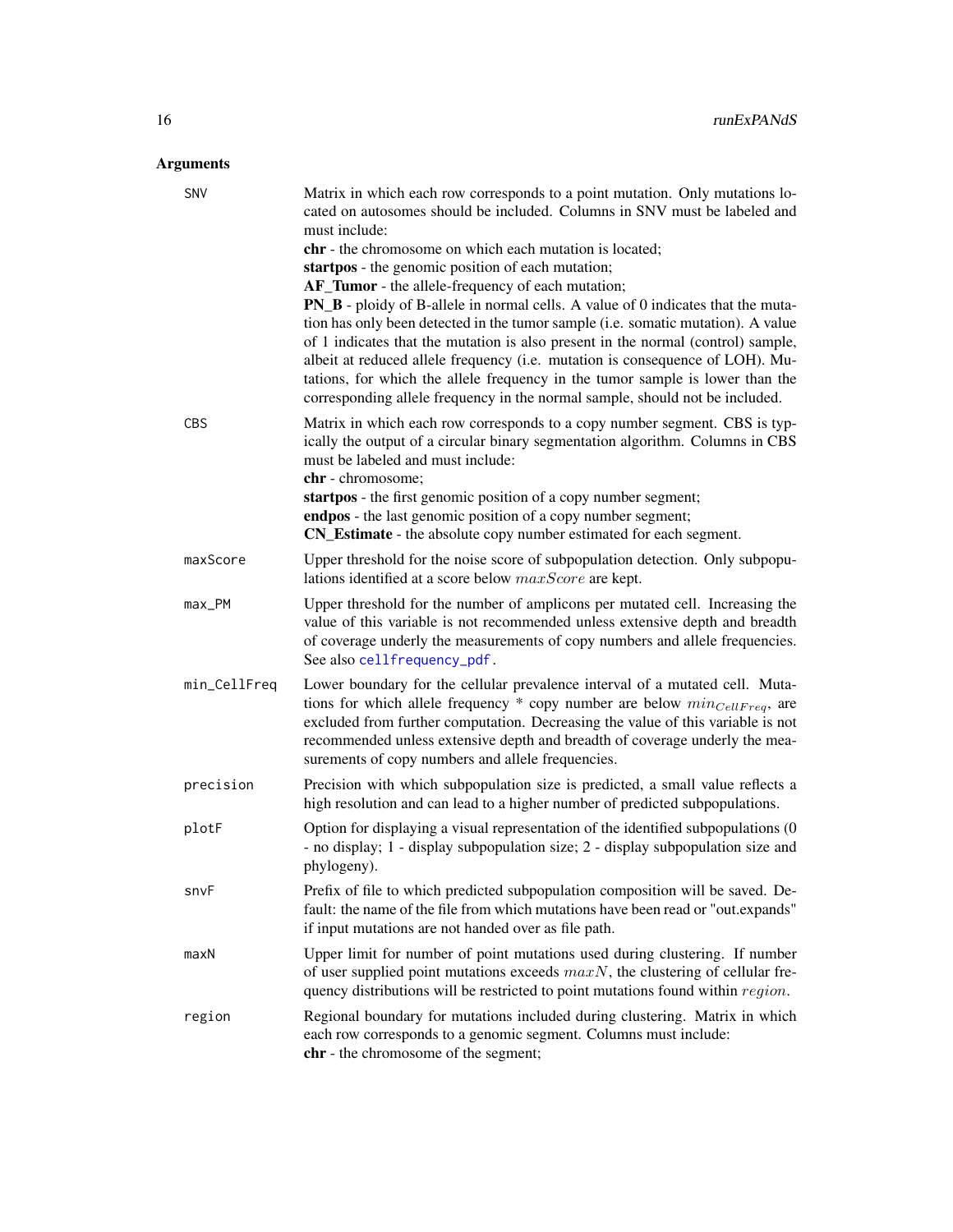<span id="page-15-0"></span>

| SNV          | Matrix in which each row corresponds to a point mutation. Only mutations lo-<br>cated on autosomes should be included. Columns in SNV must be labeled and<br>must include: |
|--------------|----------------------------------------------------------------------------------------------------------------------------------------------------------------------------|
|              | chr - the chromosome on which each mutation is located;                                                                                                                    |
|              | startpos - the genomic position of each mutation;                                                                                                                          |
|              | AF_Tumor - the allele-frequency of each mutation;                                                                                                                          |
|              | <b>PN_B</b> - ploidy of B-allele in normal cells. A value of 0 indicates that the muta-                                                                                    |
|              | tion has only been detected in the tumor sample (i.e. somatic mutation). A value                                                                                           |
|              | of 1 indicates that the mutation is also present in the normal (control) sample,                                                                                           |
|              | albeit at reduced allele frequency (i.e. mutation is consequence of LOH). Mu-                                                                                              |
|              | tations, for which the allele frequency in the tumor sample is lower than the                                                                                              |
|              | corresponding allele frequency in the normal sample, should not be included.                                                                                               |
| CBS          | Matrix in which each row corresponds to a copy number segment. CBS is typ-                                                                                                 |
|              | ically the output of a circular binary segmentation algorithm. Columns in CBS                                                                                              |
|              | must be labeled and must include:                                                                                                                                          |
|              | chr - chromosome;                                                                                                                                                          |
|              | startpos - the first genomic position of a copy number segment;                                                                                                            |
|              | endpos - the last genomic position of a copy number segment;<br>CN_Estimate - the absolute copy number estimated for each segment.                                         |
|              |                                                                                                                                                                            |
| maxScore     | Upper threshold for the noise score of subpopulation detection. Only subpopu-                                                                                              |
|              | lations identified at a score below maxScore are kept.                                                                                                                     |
| max_PM       | Upper threshold for the number of amplicons per mutated cell. Increasing the                                                                                               |
|              | value of this variable is not recommended unless extensive depth and breadth<br>of coverage underly the measurements of copy numbers and allele frequencies.               |
|              | See also cellfrequency_pdf.                                                                                                                                                |
|              |                                                                                                                                                                            |
| min_CellFreq | Lower boundary for the cellular prevalence interval of a mutated cell. Muta-<br>tions for which allele frequency $*$ copy number are below $min_{CellFreq}$ , are          |
|              | excluded from further computation. Decreasing the value of this variable is not                                                                                            |
|              | recommended unless extensive depth and breadth of coverage underly the mea-                                                                                                |
|              | surements of copy numbers and allele frequencies.                                                                                                                          |
| precision    | Precision with which subpopulation size is predicted, a small value reflects a                                                                                             |
|              | high resolution and can lead to a higher number of predicted subpopulations.                                                                                               |
| plotF        | Option for displaying a visual representation of the identified subpopulations (0                                                                                          |
|              | - no display; 1 - display subpopulation size; 2 - display subpopulation size and                                                                                           |
|              | phylogeny).                                                                                                                                                                |
| snvF         | Prefix of file to which predicted subpopulation composition will be saved. De-                                                                                             |
|              | fault: the name of the file from which mutations have been read or "out.expands"                                                                                           |
|              | if input mutations are not handed over as file path.                                                                                                                       |
| maxN         | Upper limit for number of point mutations used during clustering. If number                                                                                                |
|              | of user supplied point mutations exceeds $maxN$ , the clustering of cellular fre-                                                                                          |
|              | quency distributions will be restricted to point mutations found within region.                                                                                            |
| region       | Regional boundary for mutations included during clustering. Matrix in which                                                                                                |
|              | each row corresponds to a genomic segment. Columns must include:                                                                                                           |
|              | chr - the chromosome of the segment;                                                                                                                                       |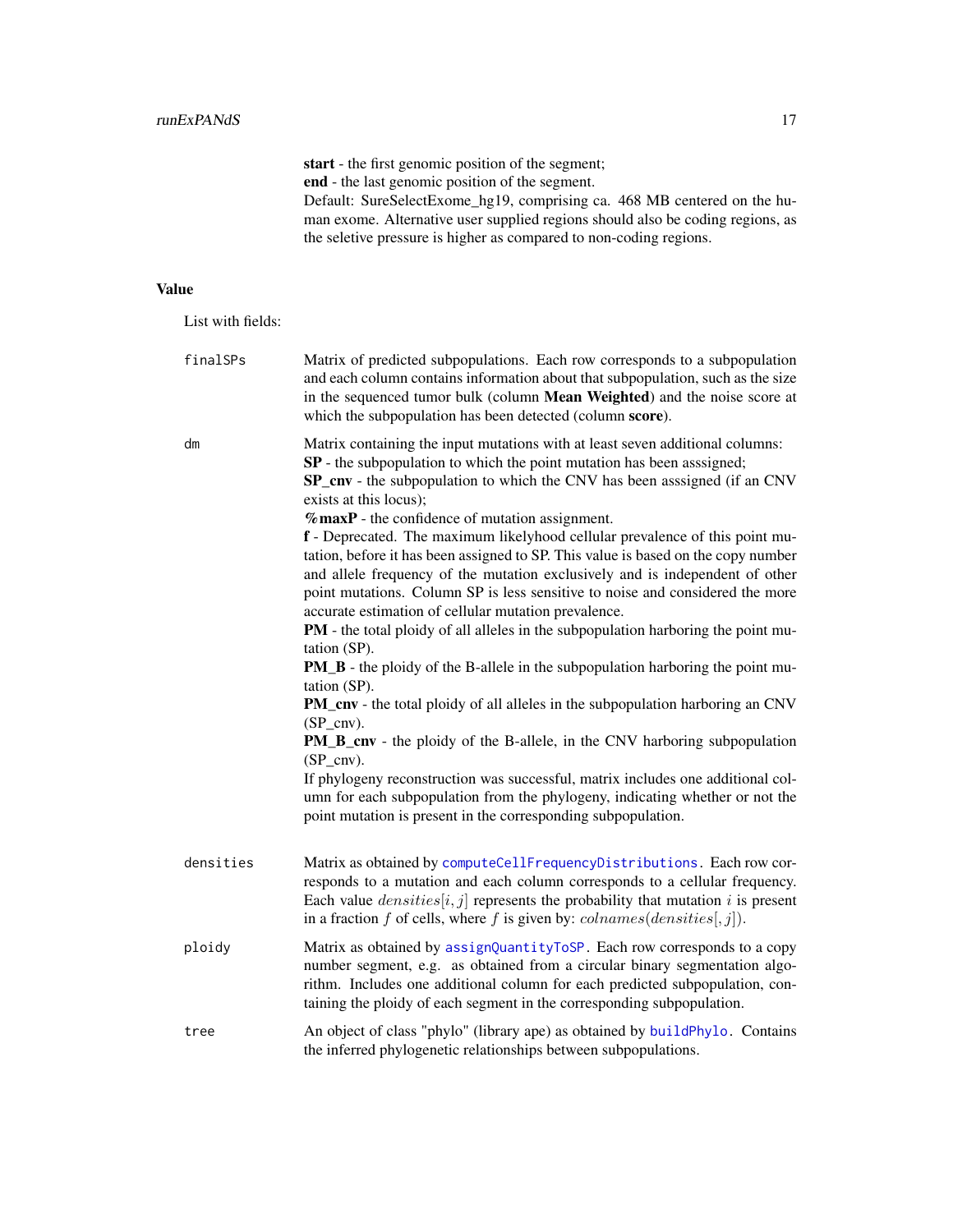<span id="page-16-0"></span>start - the first genomic position of the segment; end - the last genomic position of the segment. Default: SureSelectExome\_hg19, comprising ca. 468 MB centered on the human exome. Alternative user supplied regions should also be coding regions, as the seletive pressure is higher as compared to non-coding regions.

#### Value

List with fields:

| finalSPs  | Matrix of predicted subpopulations. Each row corresponds to a subpopulation<br>and each column contains information about that subpopulation, such as the size<br>in the sequenced tumor bulk (column Mean Weighted) and the noise score at<br>which the subpopulation has been detected (column score).                                                                                                                                                                                                                                                                                                                                                                                                                                                                                                                                                                                                                                                                                                                                                                                                                                                                                                                                                                                                                                                                           |
|-----------|------------------------------------------------------------------------------------------------------------------------------------------------------------------------------------------------------------------------------------------------------------------------------------------------------------------------------------------------------------------------------------------------------------------------------------------------------------------------------------------------------------------------------------------------------------------------------------------------------------------------------------------------------------------------------------------------------------------------------------------------------------------------------------------------------------------------------------------------------------------------------------------------------------------------------------------------------------------------------------------------------------------------------------------------------------------------------------------------------------------------------------------------------------------------------------------------------------------------------------------------------------------------------------------------------------------------------------------------------------------------------------|
| dm        | Matrix containing the input mutations with at least seven additional columns:<br>SP - the subpopulation to which the point mutation has been asssigned;<br>SP_cnv - the subpopulation to which the CNV has been asssigned (if an CNV<br>exists at this locus);<br>$%$ maxP - the confidence of mutation assignment.<br>f - Deprecated. The maximum likelyhood cellular prevalence of this point mu-<br>tation, before it has been assigned to SP. This value is based on the copy number<br>and allele frequency of the mutation exclusively and is independent of other<br>point mutations. Column SP is less sensitive to noise and considered the more<br>accurate estimation of cellular mutation prevalence.<br>PM - the total ploidy of all alleles in the subpopulation harboring the point mu-<br>tation (SP).<br><b>PM_B</b> - the ploidy of the B-allele in the subpopulation harboring the point mu-<br>tation (SP).<br><b>PM_cnv</b> - the total ploidy of all alleles in the subpopulation harboring an CNV<br>$(SP_{cnv}).$<br><b>PM_B_cnv</b> - the ploidy of the B-allele, in the CNV harboring subpopulation<br>$(SP_{cnv}).$<br>If phylogeny reconstruction was successful, matrix includes one additional col-<br>umn for each subpopulation from the phylogeny, indicating whether or not the<br>point mutation is present in the corresponding subpopulation. |
| densities | Matrix as obtained by computeCellFrequencyDistributions. Each row cor-<br>responds to a mutation and each column corresponds to a cellular frequency.<br>Each value $densities[i, j]$ represents the probability that mutation i is present<br>in a fraction f of cells, where f is given by: $\textit{colnames}(densities[, j]).$                                                                                                                                                                                                                                                                                                                                                                                                                                                                                                                                                                                                                                                                                                                                                                                                                                                                                                                                                                                                                                                 |
| ploidy    | Matrix as obtained by assignQuantityToSP. Each row corresponds to a copy<br>number segment, e.g. as obtained from a circular binary segmentation algo-<br>rithm. Includes one additional column for each predicted subpopulation, con-<br>taining the ploidy of each segment in the corresponding subpopulation.                                                                                                                                                                                                                                                                                                                                                                                                                                                                                                                                                                                                                                                                                                                                                                                                                                                                                                                                                                                                                                                                   |
| tree      | An object of class "phylo" (library ape) as obtained by buildPhylo. Contains<br>the inferred phylogenetic relationships between subpopulations.                                                                                                                                                                                                                                                                                                                                                                                                                                                                                                                                                                                                                                                                                                                                                                                                                                                                                                                                                                                                                                                                                                                                                                                                                                    |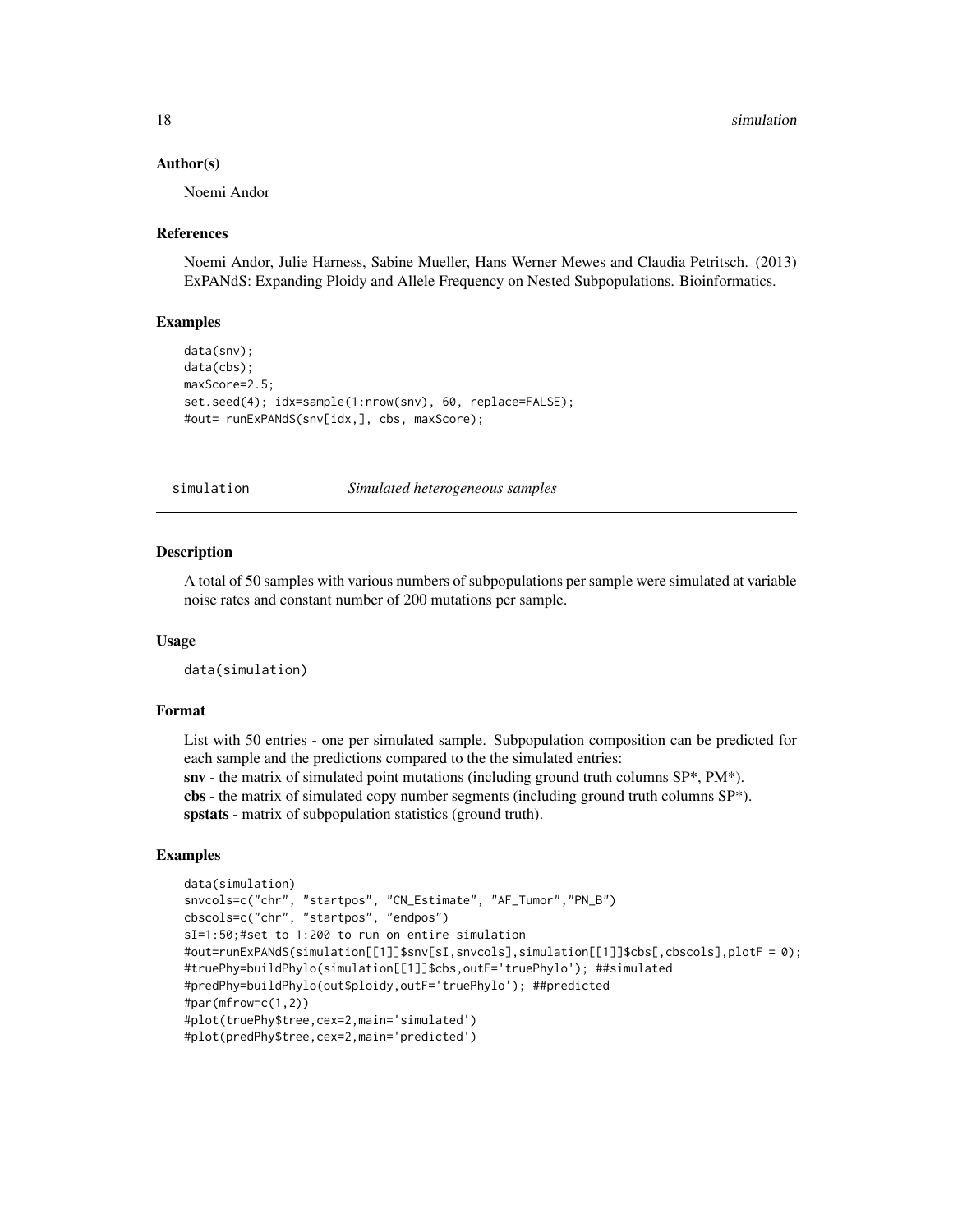#### <span id="page-17-0"></span>Author(s)

Noemi Andor

#### References

Noemi Andor, Julie Harness, Sabine Mueller, Hans Werner Mewes and Claudia Petritsch. (2013) ExPANdS: Expanding Ploidy and Allele Frequency on Nested Subpopulations. Bioinformatics.

#### Examples

```
data(snv);
data(cbs);
maxScore=2.5;
set.seed(4); idx=sample(1:nrow(snv), 60, replace=FALSE);
#out= runExPANdS(snv[idx,], cbs, maxScore);
```
simulation *Simulated heterogeneous samples*

#### Description

A total of 50 samples with various numbers of subpopulations per sample were simulated at variable noise rates and constant number of 200 mutations per sample.

#### Usage

data(simulation)

#### Format

List with 50 entries - one per simulated sample. Subpopulation composition can be predicted for each sample and the predictions compared to the the simulated entries:

snv - the matrix of simulated point mutations (including ground truth columns SP\*, PM\*). cbs - the matrix of simulated copy number segments (including ground truth columns  $SP^*$ ). spstats - matrix of subpopulation statistics (ground truth).

#### Examples

```
data(simulation)
snvcols=c("chr", "startpos", "CN_Estimate", "AF_Tumor","PN_B")
cbscols=c("chr", "startpos", "endpos")
sI=1:50;#set to 1:200 to run on entire simulation
#out=runExPANdS(simulation[[1]]$snv[sI,snvcols],simulation[[1]]$cbs[,cbscols],plotF = 0);
#truePhy=buildPhylo(simulation[[1]]$cbs,outF='truePhylo'); ##simulated
#predPhy=buildPhylo(out$ploidy,outF='truePhylo'); ##predicted
#par(mfrow=c(1,2))
#plot(truePhy$tree,cex=2,main='simulated')
#plot(predPhy$tree,cex=2,main='predicted')
```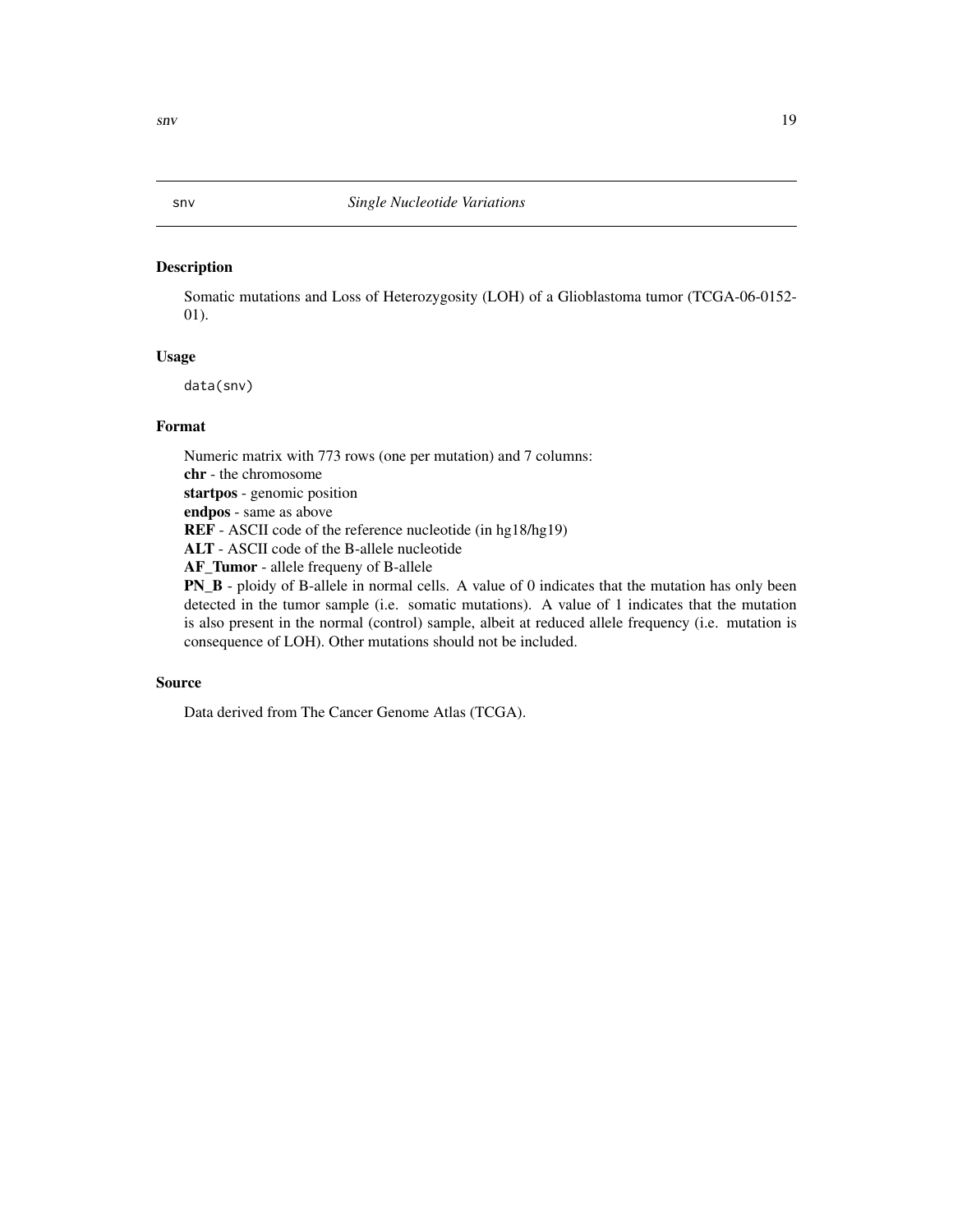#### <span id="page-18-0"></span>Description

Somatic mutations and Loss of Heterozygosity (LOH) of a Glioblastoma tumor (TCGA-06-0152- 01).

#### Usage

data(snv)

#### Format

Numeric matrix with 773 rows (one per mutation) and 7 columns: chr - the chromosome startpos - genomic position endpos - same as above REF - ASCII code of the reference nucleotide (in hg18/hg19) ALT - ASCII code of the B-allele nucleotide AF\_Tumor - allele frequeny of B-allele PN\_B - ploidy of B-allele in normal cells. A value of 0 indicates that the mutation has only been detected in the tumor sample (i.e. somatic mutations). A value of 1 indicates that the mutation is also present in the normal (control) sample, albeit at reduced allele frequency (i.e. mutation is

## Source

Data derived from The Cancer Genome Atlas (TCGA).

consequence of LOH). Other mutations should not be included.